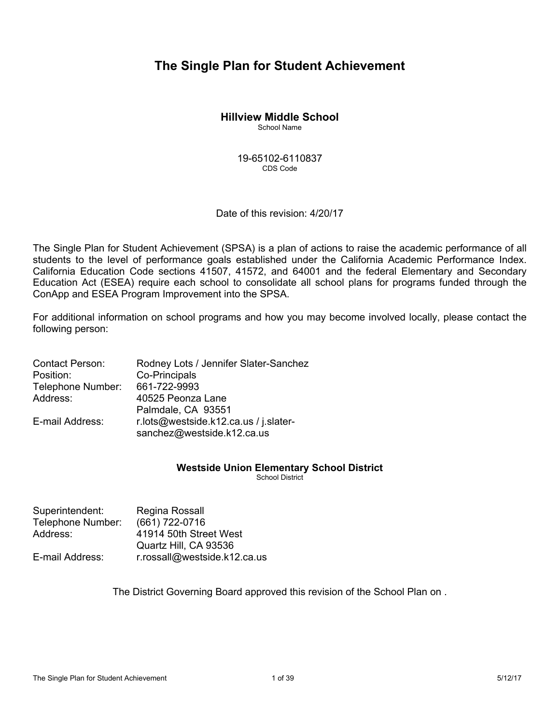# **The Single Plan for Student Achievement**

## **Hillview Middle School**

School Name

19-65102-6110837 CDS Code

Date of this revision:  $4/20/17$ 

The Single Plan for Student Achievement (SPSA) is a plan of actions to raise the academic performance of all students to the level of performance goals established under the California Academic Performance Index. California Education Code sections 41507, 41572, and 64001 and the federal Elementary and Secondary Education Act (ESEA) require each school to consolidate all school plans for programs funded through the ConApp and ESEA Program Improvement into the SPSA.

For additional information on school programs and how you may become involved locally, please contact the following person:

| <b>Contact Person:</b> | Rodney Lots / Jennifer Slater-Sanchez                               |
|------------------------|---------------------------------------------------------------------|
| Position:              | Co-Principals                                                       |
| Telephone Number:      | 661-722-9993                                                        |
| Address:               | 40525 Peonza Lane                                                   |
|                        | Palmdale, CA 93551                                                  |
| E-mail Address:        | r.lots@westside.k12.ca.us / j.slater-<br>sanchez@westside.k12.ca.us |

## **Westside Union Elementary School District**

School District

| Superintendent:   | Regina Rossall               |
|-------------------|------------------------------|
| Telephone Number: | (661) 722-0716               |
| Address:          | 41914 50th Street West       |
|                   | Quartz Hill, CA 93536        |
| E-mail Address:   | r.rossall@westside.k12.ca.us |

The District Governing Board approved this revision of the School Plan on .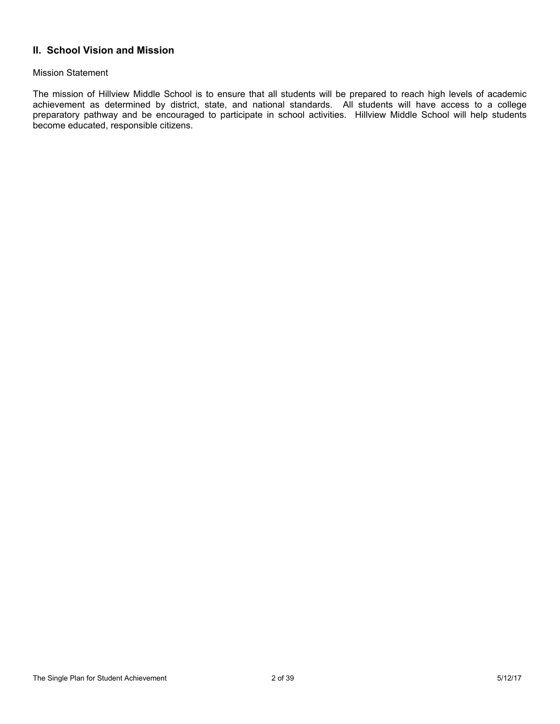## **II. School Vision and Mission**

### Mission Statement

The mission of Hillview Middle School is to ensure that all students will be prepared to reach high levels of academic achievement as determined by district, state, and national standards. All students will have access to a college preparatory pathway and be encouraged to participate in school activities. Hillview Middle School will help students become educated, responsible citizens.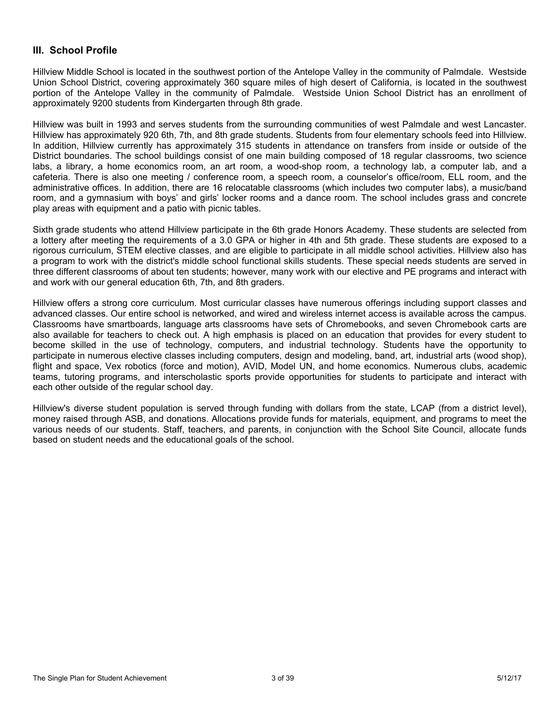### **III. School Profile**

Hillview Middle School is located in the southwest portion of the Antelope Valley in the community of Palmdale. Westside Union School District, covering approximately 360 square miles of high desert of California, is located in the southwest portion of the Antelope Valley in the community of Palmdale. Westside Union School District has an enrollment of approximately 9200 students from Kindergarten through 8th grade.

Hillview was built in 1993 and serves students from the surrounding communities of west Palmdale and west Lancaster. Hillview has approximately 920 6th, 7th, and 8th grade students. Students from four elementary schools feed into Hillview. In addition, Hillview currently has approximately 315 students in attendance on transfers from inside or outside of the District boundaries. The school buildings consist of one main building composed of 18 regular classrooms, two science labs, a library, a home economics room, an art room, a wood-shop room, a technology lab, a computer lab, and a cafeteria. There is also one meeting / conference room, a speech room, a counselor's office/room, ELL room, and the administrative offices. In addition, there are 16 relocatable classrooms (which includes two computer labs), a music/band room, and a gymnasium with boys' and girls' locker rooms and a dance room. The school includes grass and concrete play areas with equipment and a patio with picnic tables.

Sixth grade students who attend Hillview participate in the 6th grade Honors Academy. These students are selected from a lottery after meeting the requirements of a 3.0 GPA or higher in 4th and 5th grade. These students are exposed to a rigorous curriculum, STEM elective classes, and are eligible to participate in all middle school activities. Hillview also has a program to work with the district's middle school functional skills students. These special needs students are served in three different classrooms of about ten students; however, many work with our elective and PE programs and interact with and work with our general education 6th, 7th, and 8th graders.

Hillview offers a strong core curriculum. Most curricular classes have numerous offerings including support classes and advanced classes. Our entire school is networked, and wired and wireless internet access is available across the campus. Classrooms have smartboards, language arts classrooms have sets of Chromebooks, and seven Chromebook carts are also available for teachers to check out. A high emphasis is placed on an education that provides for every student to become skilled in the use of technology, computers, and industrial technology. Students have the opportunity to participate in numerous elective classes including computers, design and modeling, band, art, industrial arts (wood shop), flight and space, Vex robotics (force and motion), AVID, Model UN, and home economics. Numerous clubs, academic teams, tutoring programs, and interscholastic sports provide opportunities for students to participate and interact with each other outside of the regular school day.

Hillview's diverse student population is served through funding with dollars from the state, LCAP (from a district level), money raised through ASB, and donations. Allocations provide funds for materials, equipment, and programs to meet the various needs of our students. Staff, teachers, and parents, in conjunction with the School Site Council, allocate funds based on student needs and the educational goals of the school.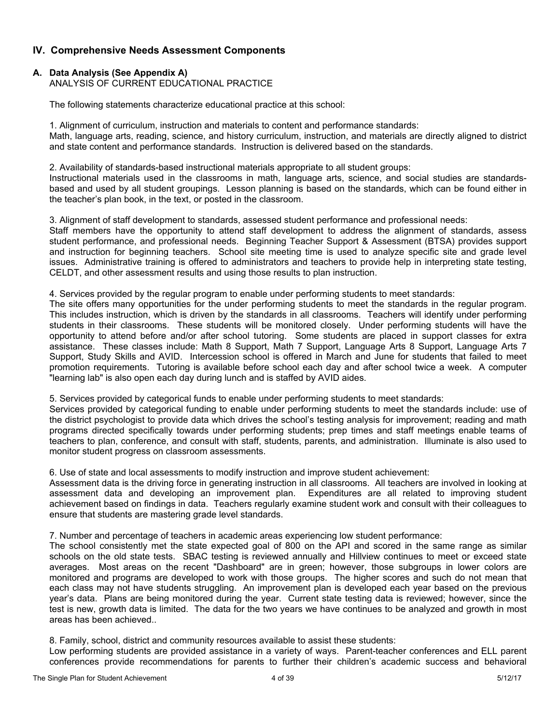## **IV. Comprehensive Needs Assessment Components**

### **A. Data Analysis (See Appendix A)**

ANALYSIS OF CURRENT EDUCATIONAL PRACTICE

The following statements characterize educational practice at this school:

1. Alignment of curriculum, instruction and materials to content and performance standards: Math, language arts, reading, science, and history curriculum, instruction, and materials are directly aligned to district and state content and performance standards. Instruction is delivered based on the standards.

2. Availability of standards-based instructional materials appropriate to all student groups:

Instructional materials used in the classrooms in math, language arts, science, and social studies are standardsbased and used by all student groupings. Lesson planning is based on the standards, which can be found either in the teacher's plan book, in the text, or posted in the classroom.

3. Alignment of staff development to standards, assessed student performance and professional needs:

Staff members have the opportunity to attend staff development to address the alignment of standards, assess student performance, and professional needs. Beginning Teacher Support & Assessment (BTSA) provides support and instruction for beginning teachers. School site meeting time is used to analyze specific site and grade level issues. Administrative training is offered to administrators and teachers to provide help in interpreting state testing, CELDT, and other assessment results and using those results to plan instruction.

4. Services provided by the regular program to enable under performing students to meet standards:

The site offers many opportunities for the under performing students to meet the standards in the regular program. This includes instruction, which is driven by the standards in all classrooms. Teachers will identify under performing students in their classrooms. These students will be monitored closely. Under performing students will have the opportunity to attend before and/or after school tutoring. Some students are placed in support classes for extra assistance. These classes include: Math 8 Support, Math 7 Support, Language Arts 8 Support, Language Arts 7 Support, Study Skills and AVID. Intercession school is offered in March and June for students that failed to meet promotion requirements. Tutoring is available before school each day and after school twice a week. A computer "learning lab" is also open each day during lunch and is staffed by AVID aides.

5. Services provided by categorical funds to enable under performing students to meet standards:

Services provided by categorical funding to enable under performing students to meet the standards include: use of the district psychologist to provide data which drives the school's testing analysis for improvement; reading and math programs directed specifically towards under performing students; prep times and staff meetings enable teams of teachers to plan, conference, and consult with staff, students, parents, and administration. Illuminate is also used to monitor student progress on classroom assessments.

6. Use of state and local assessments to modify instruction and improve student achievement:

Assessment data is the driving force in generating instruction in all classrooms. All teachers are involved in looking at assessment data and developing an improvement plan. Expenditures are all related to improving student achievement based on findings in data. Teachers regularly examine student work and consult with their colleagues to ensure that students are mastering grade level standards.

7. Number and percentage of teachers in academic areas experiencing low student performance:

The school consistently met the state expected goal of 800 on the API and scored in the same range as similar schools on the old state tests. SBAC testing is reviewed annually and Hillview continues to meet or exceed state averages. Most areas on the recent "Dashboard" are in green; however, those subgroups in lower colors are monitored and programs are developed to work with those groups. The higher scores and such do not mean that each class may not have students struggling. An improvement plan is developed each year based on the previous year's data. Plans are being monitored during the year. Current state testing data is reviewed; however, since the test is new, growth data is limited. The data for the two years we have continues to be analyzed and growth in most areas has been achieved..

8. Family, school, district and community resources available to assist these students:

Low performing students are provided assistance in a variety of ways. Parent-teacher conferences and ELL parent conferences provide recommendations for parents to further their children's academic success and behavioral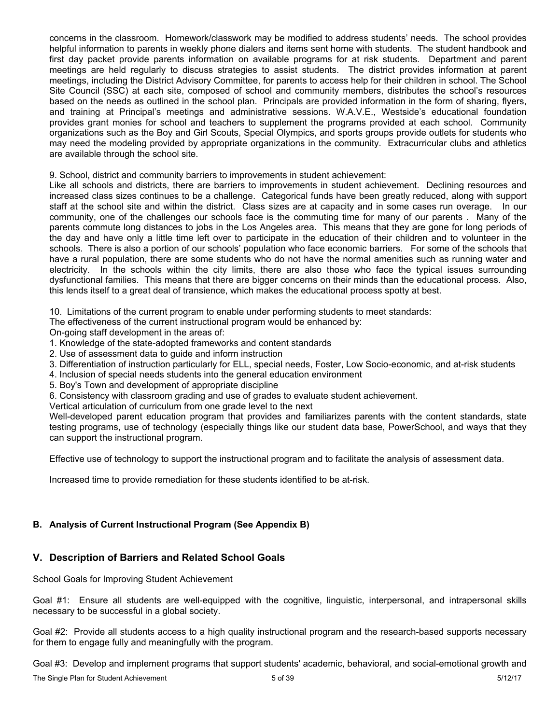concerns in the classroom. Homework/classwork may be modified to address students' needs. The school provides helpful information to parents in weekly phone dialers and items sent home with students. The student handbook and first day packet provide parents information on available programs for at risk students. Department and parent meetings are held regularly to discuss strategies to assist students. The district provides information at parent meetings, including the District Advisory Committee, for parents to access help for their children in school. The School Site Council (SSC) at each site, composed of school and community members, distributes the school's resources based on the needs as outlined in the school plan. Principals are provided information in the form of sharing, flyers, and training at Principal's meetings and administrative sessions. W.A.V.E., Westside's educational foundation provides grant monies for school and teachers to supplement the programs provided at each school. Community organizations such as the Boy and Girl Scouts, Special Olympics, and sports groups provide outlets for students who may need the modeling provided by appropriate organizations in the community. Extracurricular clubs and athletics are available through the school site.

9. School, district and community barriers to improvements in student achievement:

Like all schools and districts, there are barriers to improvements in student achievement. Declining resources and increased class sizes continues to be a challenge. Categorical funds have been greatly reduced, along with support staff at the school site and within the district. Class sizes are at capacity and in some cases run overage. In our community, one of the challenges our schools face is the commuting time for many of our parents . Many of the parents commute long distances to jobs in the Los Angeles area. This means that they are gone for long periods of the day and have only a little time left over to participate in the education of their children and to volunteer in the schools. There is also a portion of our schools' population who face economic barriers. For some of the schools that have a rural population, there are some students who do not have the normal amenities such as running water and electricity. In the schools within the city limits, there are also those who face the typical issues surrounding dysfunctional families. This means that there are bigger concerns on their minds than the educational process. Also, this lends itself to a great deal of transience, which makes the educational process spotty at best.

10. Limitations of the current program to enable under performing students to meet standards:

The effectiveness of the current instructional program would be enhanced by:

On-going staff development in the areas of:

- 1. Knowledge of the state-adopted frameworks and content standards
- 2. Use of assessment data to guide and inform instruction
- 3. Differentiation of instruction particularly for ELL, special needs, Foster, Low Socio-economic, and at-risk students
- 4. Inclusion of special needs students into the general education environment
- 5. Boy's Town and development of appropriate discipline

6. Consistency with classroom grading and use of grades to evaluate student achievement.

Vertical articulation of curriculum from one grade level to the next

Well-developed parent education program that provides and familiarizes parents with the content standards, state testing programs, use of technology (especially things like our student data base, PowerSchool, and ways that they can support the instructional program.

Effective use of technology to support the instructional program and to facilitate the analysis of assessment data.

Increased time to provide remediation for these students identified to be at-risk.

### **B. Analysis of Current Instructional Program (See Appendix B)**

## **V. Description of Barriers and Related School Goals**

School Goals for Improving Student Achievement

Goal #1: Ensure all students are well-equipped with the cognitive, linguistic, interpersonal, and intrapersonal skills necessary to be successful in a global society.

Goal #2: Provide all students access to a high quality instructional program and the research-based supports necessary for them to engage fully and meaningfully with the program.

Goal #3: Develop and implement programs that support students' academic, behavioral, and social-emotional growth and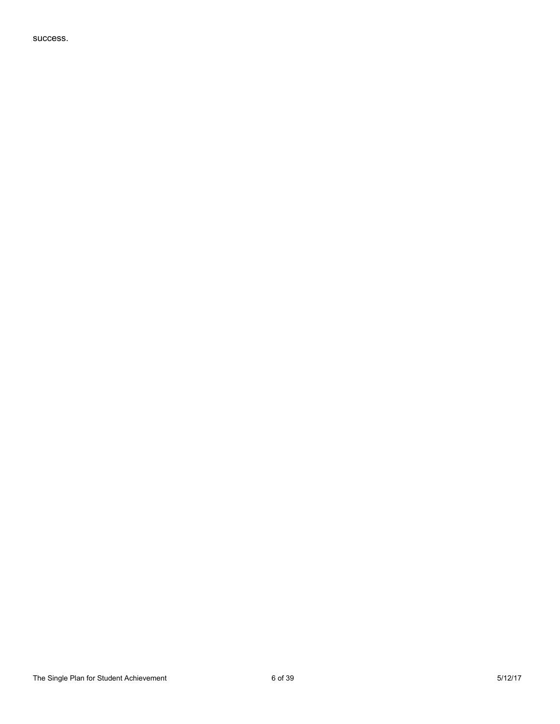success.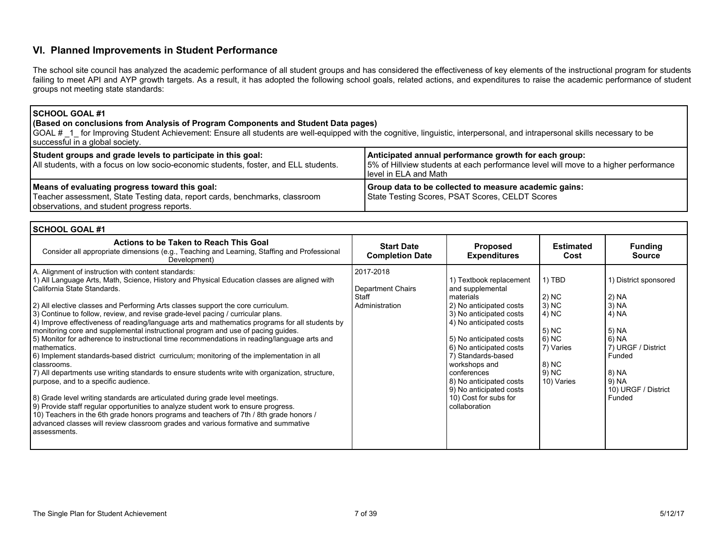### **VI. Planned Improvements in Student Performance**

The school site council has analyzed the academic performance of all student groups and has considered the effectiveness of key elements of the instructional program for students failing to meet API and AYP growth targets. As a result, it has adopted the following school goals, related actions, and expenditures to raise the academic performance of student groups not meeting state standards:

#### **SCHOOL GOAL #1**

### **(Based on conclusions from Analysis of Program Components and Student Data pages)**

GOAL # 1 for Improving Student Achievement: Ensure all students are well-equipped with the cognitive, linguistic, interpersonal, and intrapersonal skills necessary to be successful in a global society.

| Student groups and grade levels to participate in this goal:<br>All students, with a focus on low socio-economic students, foster, and ELL students.                         | Anticipated annual performance growth for each group:<br>5% of Hillview students at each performance level will move to a higher performance<br>level in ELA and Math |
|------------------------------------------------------------------------------------------------------------------------------------------------------------------------------|-----------------------------------------------------------------------------------------------------------------------------------------------------------------------|
| Means of evaluating progress toward this goal:<br>Teacher assessment, State Testing data, report cards, benchmarks, classroom<br>observations, and student progress reports. | Group data to be collected to measure academic gains:<br>State Testing Scores, PSAT Scores, CELDT Scores                                                              |

| <b>SCHOOL GOAL #1</b>                                                                                                                                                                                                                                                                                                                                                                                                                                                                                                                                                                                                                                                                                                                                                                                                                                                                                                                                                                                                                                                                                                                                                                                                                                                                        |                                                           |                                                                                                                                                                                                                                                                                                                                                       |                                                                                                           |                                                                                                                                                       |
|----------------------------------------------------------------------------------------------------------------------------------------------------------------------------------------------------------------------------------------------------------------------------------------------------------------------------------------------------------------------------------------------------------------------------------------------------------------------------------------------------------------------------------------------------------------------------------------------------------------------------------------------------------------------------------------------------------------------------------------------------------------------------------------------------------------------------------------------------------------------------------------------------------------------------------------------------------------------------------------------------------------------------------------------------------------------------------------------------------------------------------------------------------------------------------------------------------------------------------------------------------------------------------------------|-----------------------------------------------------------|-------------------------------------------------------------------------------------------------------------------------------------------------------------------------------------------------------------------------------------------------------------------------------------------------------------------------------------------------------|-----------------------------------------------------------------------------------------------------------|-------------------------------------------------------------------------------------------------------------------------------------------------------|
| Actions to be Taken to Reach This Goal<br>Consider all appropriate dimensions (e.g., Teaching and Learning, Staffing and Professional<br>Development)                                                                                                                                                                                                                                                                                                                                                                                                                                                                                                                                                                                                                                                                                                                                                                                                                                                                                                                                                                                                                                                                                                                                        | <b>Start Date</b><br><b>Completion Date</b>               | Proposed<br><b>Expenditures</b>                                                                                                                                                                                                                                                                                                                       | <b>Estimated</b><br>Cost                                                                                  | <b>Funding</b><br><b>Source</b>                                                                                                                       |
| A. Alignment of instruction with content standards:<br>1) All Language Arts, Math, Science, History and Physical Education classes are aligned with<br>California State Standards.<br>2) All elective classes and Performing Arts classes support the core curriculum.<br>3) Continue to follow, review, and revise grade-level pacing / curricular plans.<br>4) Improve effectiveness of reading/language arts and mathematics programs for all students by<br>monitoring core and supplemental instructional program and use of pacing guides.<br>5) Monitor for adherence to instructional time recommendations in reading/language arts and<br>mathematics.<br>6) Implement standards-based district curriculum; monitoring of the implementation in all<br>classrooms.<br>7) All departments use writing standards to ensure students write with organization, structure,<br>purpose, and to a specific audience.<br>8) Grade level writing standards are articulated during grade level meetings.<br>9) Provide staff regular opportunities to analyze student work to ensure progress.<br>10) Teachers in the 6th grade honors programs and teachers of 7th / 8th grade honors /<br>advanced classes will review classroom grades and various formative and summative<br>assessments. | 2017-2018<br>Department Chairs<br>Staff<br>Administration | 1) Textbook replacement<br>and supplemental<br>materials<br>2) No anticipated costs<br>3) No anticipated costs<br>4) No anticipated costs<br>5) No anticipated costs<br>6) No anticipated costs<br>7) Standards-based<br>workshops and<br>conferences<br>8) No anticipated costs<br>9) No anticipated costs<br>10) Cost for subs for<br>collaboration | 1) TBD<br>2) NC<br>$(3)$ NC<br>4) NC<br>$5)$ NC<br>$6)$ NC<br>7) Varies<br>8) NC<br>$9)$ NC<br>10) Varies | 1) District sponsored<br>2) NA<br>3) NA<br>4) NA<br>5) NA<br>6) NA<br>7) URGF / District<br>Funded<br>8) NA<br>9) NA<br>10) URGF / District<br>Funded |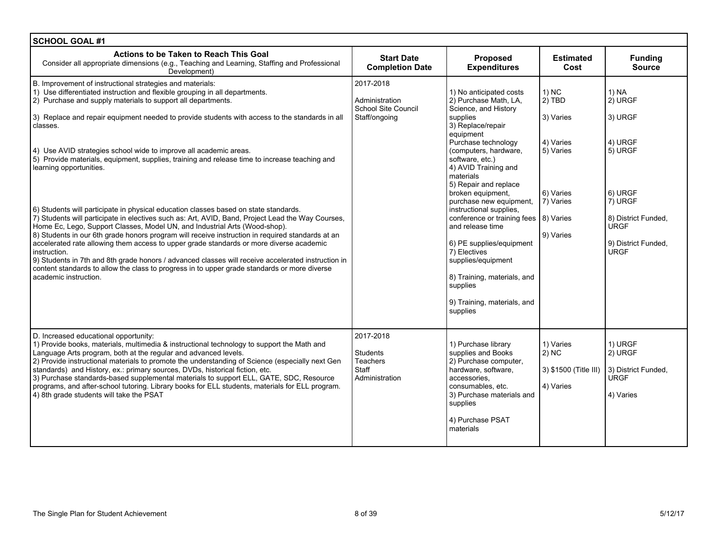| <b>SCHOOL GOAL #1</b>                                                                                                                                                                                                                                                                                                                                                                                                                                                                                                                                                                                                                                                                                                 |                                                                     |                                                                                                                                                                                                                                                                           |                                                          |                                                                                     |
|-----------------------------------------------------------------------------------------------------------------------------------------------------------------------------------------------------------------------------------------------------------------------------------------------------------------------------------------------------------------------------------------------------------------------------------------------------------------------------------------------------------------------------------------------------------------------------------------------------------------------------------------------------------------------------------------------------------------------|---------------------------------------------------------------------|---------------------------------------------------------------------------------------------------------------------------------------------------------------------------------------------------------------------------------------------------------------------------|----------------------------------------------------------|-------------------------------------------------------------------------------------|
| Actions to be Taken to Reach This Goal<br>Consider all appropriate dimensions (e.g., Teaching and Learning, Staffing and Professional<br>Development)                                                                                                                                                                                                                                                                                                                                                                                                                                                                                                                                                                 | <b>Start Date</b><br><b>Completion Date</b>                         | Proposed<br><b>Expenditures</b>                                                                                                                                                                                                                                           | <b>Estimated</b><br>Cost                                 | <b>Funding</b><br><b>Source</b>                                                     |
| B. Improvement of instructional strategies and materials:<br>1) Use differentiated instruction and flexible grouping in all departments.<br>2) Purchase and supply materials to support all departments.<br>3) Replace and repair equipment needed to provide students with access to the standards in all<br>classes.                                                                                                                                                                                                                                                                                                                                                                                                | 2017-2018<br>Administration<br>School Site Council<br>Staff/ongoing | 1) No anticipated costs<br>2) Purchase Math, LA,<br>Science, and History<br>supplies<br>3) Replace/repair<br>equipment                                                                                                                                                    | 1) NC<br>$2)$ TBD<br>3) Varies                           | 1) NA<br>2) URGF<br>3) URGF                                                         |
| 4) Use AVID strategies school wide to improve all academic areas.<br>5) Provide materials, equipment, supplies, training and release time to increase teaching and<br>learning opportunities.                                                                                                                                                                                                                                                                                                                                                                                                                                                                                                                         |                                                                     | Purchase technology<br>(computers, hardware,<br>software, etc.)<br>4) AVID Training and<br>materials<br>5) Repair and replace<br>broken equipment,                                                                                                                        | 4) Varies<br>5) Varies<br>6) Varies                      | 4) URGF<br>5) URGF<br>6) URGF                                                       |
| 6) Students will participate in physical education classes based on state standards.<br>7) Students will participate in electives such as: Art, AVID, Band, Project Lead the Way Courses,<br>Home Ec, Lego, Support Classes, Model UN, and Industrial Arts (Wood-shop).<br>8) Students in our 6th grade honors program will receive instruction in required standards at an<br>accelerated rate allowing them access to upper grade standards or more diverse academic<br>instruction.<br>9) Students in 7th and 8th grade honors / advanced classes will receive accelerated instruction in<br>content standards to allow the class to progress in to upper grade standards or more diverse<br>academic instruction. |                                                                     | purchase new equipment,<br>instructional supplies,<br>conference or training fees   8) Varies<br>and release time<br>6) PE supplies/equipment<br>7) Electives<br>supplies/equipment<br>8) Training, materials, and<br>supplies<br>9) Training, materials, and<br>supplies | 7) Varies<br>9) Varies                                   | 7) URGF<br>8) District Funded,<br><b>URGF</b><br>9) District Funded,<br><b>URGF</b> |
| D. Increased educational opportunity:<br>1) Provide books, materials, multimedia & instructional technology to support the Math and<br>Language Arts program, both at the regular and advanced levels.<br>2) Provide instructional materials to promote the understanding of Science (especially next Gen<br>standards) and History, ex.: primary sources, DVDs, historical fiction, etc.<br>3) Purchase standards-based supplemental materials to support ELL, GATE, SDC, Resource<br>programs, and after-school tutoring. Library books for ELL students, materials for ELL program.<br>4) 8th grade students will take the PSAT                                                                                    | 2017-2018<br><b>Students</b><br>Teachers<br>Staff<br>Administration | 1) Purchase library<br>supplies and Books<br>2) Purchase computer,<br>hardware, software,<br>accessories.<br>consumables, etc.<br>3) Purchase materials and<br>supplies<br>4) Purchase PSAT<br>materials                                                                  | 1) Varies<br>2) NC<br>3) \$1500 (Title III)<br>4) Varies | 1) URGF<br>2) URGF<br>3) District Funded,<br><b>URGF</b><br>4) Varies               |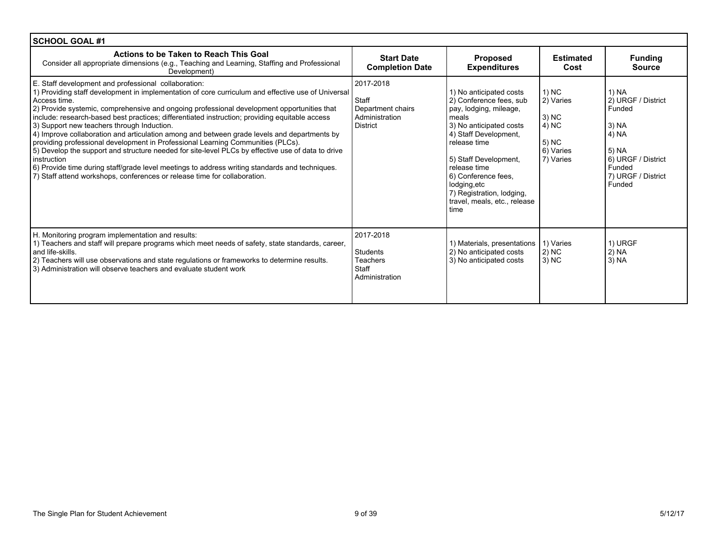| SCHOOL GOAL #1                                                                                                                                                                                                                                                                                                                                                                                                                                                                                                                                                                                                                                                                                                                                                                                                                                                                                                |                                                                              |                                                                                                                                                                                                                                                                                                                |                                                                                |                                                                                                                                    |
|---------------------------------------------------------------------------------------------------------------------------------------------------------------------------------------------------------------------------------------------------------------------------------------------------------------------------------------------------------------------------------------------------------------------------------------------------------------------------------------------------------------------------------------------------------------------------------------------------------------------------------------------------------------------------------------------------------------------------------------------------------------------------------------------------------------------------------------------------------------------------------------------------------------|------------------------------------------------------------------------------|----------------------------------------------------------------------------------------------------------------------------------------------------------------------------------------------------------------------------------------------------------------------------------------------------------------|--------------------------------------------------------------------------------|------------------------------------------------------------------------------------------------------------------------------------|
| Actions to be Taken to Reach This Goal<br>Consider all appropriate dimensions (e.g., Teaching and Learning, Staffing and Professional<br>Development)                                                                                                                                                                                                                                                                                                                                                                                                                                                                                                                                                                                                                                                                                                                                                         | <b>Start Date</b><br><b>Completion Date</b>                                  | <b>Proposed</b><br><b>Expenditures</b>                                                                                                                                                                                                                                                                         | <b>Estimated</b><br>Cost                                                       | <b>Funding</b><br><b>Source</b>                                                                                                    |
| E. Staff development and professional collaboration:<br>1) Providing staff development in implementation of core curriculum and effective use of Universal<br>Access time.<br>2) Provide systemic, comprehensive and ongoing professional development opportunities that<br>include: research-based best practices; differentiated instruction; providing equitable access<br>3) Support new teachers through Induction.<br>4) Improve collaboration and articulation among and between grade levels and departments by<br>providing professional development in Professional Learning Communities (PLCs).<br>5) Develop the support and structure needed for site-level PLCs by effective use of data to drive<br>instruction<br>6) Provide time during staff/grade level meetings to address writing standards and techniques.<br>7) Staff attend workshops, conferences or release time for collaboration. | 2017-2018<br>Staff<br>Department chairs<br>Administration<br><b>District</b> | 1) No anticipated costs<br>2) Conference fees, sub<br>pay, lodging, mileage,<br>meals<br>3) No anticipated costs<br>4) Staff Development,<br>release time<br>5) Staff Development,<br>release time<br>6) Conference fees,<br>lodging, etc<br>7) Registration, lodging,<br>travel, meals, etc., release<br>time | $1)$ NC<br>2) Varies<br>$3)$ NC<br>$(4)$ NC<br>5) NC<br>6) Varies<br>7) Varies | 1) NA<br>2) URGF / District<br>Funded<br>3) NA<br>4) NA<br>  5) NA<br>6) URGF / District<br>Funded<br>7) URGF / District<br>Funded |
| H. Monitoring program implementation and results:<br>1) Teachers and staff will prepare programs which meet needs of safety, state standards, career,<br>and life-skills.<br>[2] Teachers will use observations and state regulations or frameworks to determine results.<br>3) Administration will observe teachers and evaluate student work                                                                                                                                                                                                                                                                                                                                                                                                                                                                                                                                                                | 2017-2018<br>Students<br><b>Teachers</b><br>Staff<br>Administration          | 1) Materials, presentations  <br>2) No anticipated costs<br>3) No anticipated costs                                                                                                                                                                                                                            | 1) Varies<br>$2)$ NC<br>$3)$ NC                                                | 1) URGF<br>2) NA<br>3) NA                                                                                                          |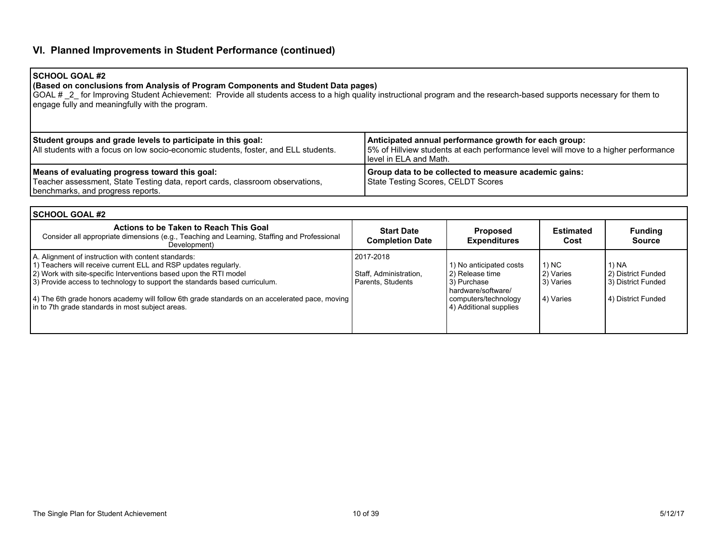## **VI. Planned Improvements in Student Performance (continued)**

### **SCHOOL GOAL #2**

#### **(Based on conclusions from Analysis of Program Components and Student Data pages)**

GOAL # \_2\_ for Improving Student Achievement: Provide all students access to a high quality instructional program and the research-based supports necessary for them to engage fully and meaningfully with the program.

| Student groups and grade levels to participate in this goal:<br>All students with a focus on low socio-economic students, foster, and ELL students.                  | Anticipated annual performance growth for each group:<br>15% of Hillview students at each performance level will move to a higher performance<br>I level in ELA and Math. |
|----------------------------------------------------------------------------------------------------------------------------------------------------------------------|---------------------------------------------------------------------------------------------------------------------------------------------------------------------------|
| Means of evaluating progress toward this goal:<br>Teacher assessment, State Testing data, report cards, classroom observations,<br>benchmarks, and progress reports. | Group data to be collected to measure academic gains:<br>State Testing Scores, CELDT Scores                                                                               |

| l SCHOOL GOAL #2                                                                                                                                                                                                                                                                                                                                                                                                                  |                                                          |                                                                                                                                   |                                              |                                                                           |
|-----------------------------------------------------------------------------------------------------------------------------------------------------------------------------------------------------------------------------------------------------------------------------------------------------------------------------------------------------------------------------------------------------------------------------------|----------------------------------------------------------|-----------------------------------------------------------------------------------------------------------------------------------|----------------------------------------------|---------------------------------------------------------------------------|
| Actions to be Taken to Reach This Goal<br>Consider all appropriate dimensions (e.g., Teaching and Learning, Staffing and Professional<br>Development)                                                                                                                                                                                                                                                                             | <b>Start Date</b><br><b>Completion Date</b>              | <b>Proposed</b><br><b>Expenditures</b>                                                                                            | <b>Estimated</b><br>Cost                     | <b>Funding</b><br><b>Source</b>                                           |
| A. Alignment of instruction with content standards:<br>1) Teachers will receive current ELL and RSP updates regularly.<br>2) Work with site-specific Interventions based upon the RTI model<br>(3) Provide access to technology to support the standards based curriculum.<br>[4] The 6th grade honors academy will follow 6th grade standards on an accelerated pace, moving<br>in to 7th grade standards in most subject areas. | 2017-2018<br>Staff, Administration,<br>Parents, Students | 1) No anticipated costs<br>2) Release time<br>3) Purchase<br>hardware/software/<br>computers/technology<br>4) Additional supplies | 1) NC<br>2) Varies<br>3) Varies<br>4) Varies | 1) NA<br>l 2) District Funded<br>3) District Funded<br>4) District Funded |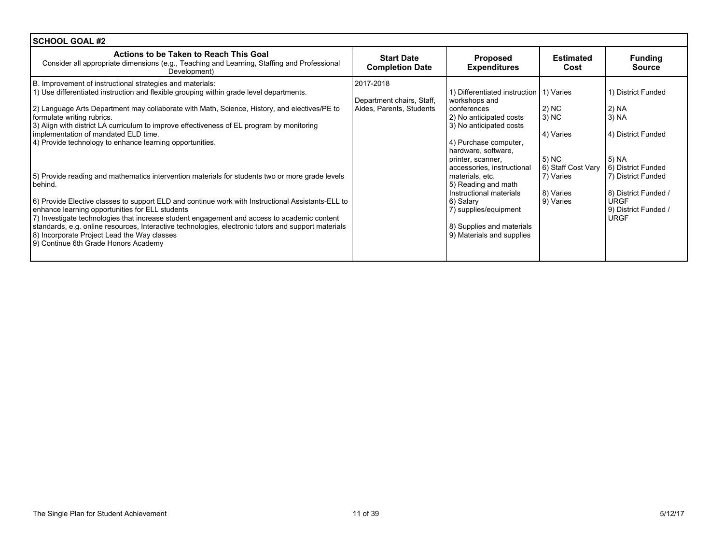| <b>SCHOOL GOAL #2</b>                                                                                                                                                                                                                                                                                                                                                                                                                                                                                                                                                                                                                                                                                                                                                                                                                                                                                                                                                                                                                                  |                                                                    |                                                                                                                                                                                                                                                                                                                                                                                                       |                                                                                                   |                                                                                                                                                                                                 |
|--------------------------------------------------------------------------------------------------------------------------------------------------------------------------------------------------------------------------------------------------------------------------------------------------------------------------------------------------------------------------------------------------------------------------------------------------------------------------------------------------------------------------------------------------------------------------------------------------------------------------------------------------------------------------------------------------------------------------------------------------------------------------------------------------------------------------------------------------------------------------------------------------------------------------------------------------------------------------------------------------------------------------------------------------------|--------------------------------------------------------------------|-------------------------------------------------------------------------------------------------------------------------------------------------------------------------------------------------------------------------------------------------------------------------------------------------------------------------------------------------------------------------------------------------------|---------------------------------------------------------------------------------------------------|-------------------------------------------------------------------------------------------------------------------------------------------------------------------------------------------------|
| Actions to be Taken to Reach This Goal<br>Consider all appropriate dimensions (e.g., Teaching and Learning, Staffing and Professional<br>Development)                                                                                                                                                                                                                                                                                                                                                                                                                                                                                                                                                                                                                                                                                                                                                                                                                                                                                                  | <b>Start Date</b><br><b>Completion Date</b>                        | <b>Proposed</b><br><b>Expenditures</b>                                                                                                                                                                                                                                                                                                                                                                | <b>Estimated</b><br>Cost                                                                          | <b>Funding</b><br><b>Source</b>                                                                                                                                                                 |
| B. Improvement of instructional strategies and materials:<br>1) Use differentiated instruction and flexible grouping within grade level departments.<br>2) Language Arts Department may collaborate with Math, Science, History, and electives/PE to<br>formulate writing rubrics.<br>3) Align with district LA curriculum to improve effectiveness of EL program by monitoring<br>implementation of mandated ELD time.<br>4) Provide technology to enhance learning opportunities.<br>5) Provide reading and mathematics intervention materials for students two or more grade levels<br>behind.<br>6) Provide Elective classes to support ELD and continue work with Instructional Assistants-ELL to<br>enhance learning opportunities for ELL students<br>7) Investigate technologies that increase student engagement and access to academic content<br>standards, e.g. online resources, Interactive technologies, electronic tutors and support materials<br>8) Incorporate Project Lead the Way classes<br>9) Continue 6th Grade Honors Academy | 2017-2018<br>Department chairs, Staff,<br>Aides, Parents, Students | 1) Differentiated instruction 1) Varies<br>workshops and<br>conferences<br>2) No anticipated costs<br>3) No anticipated costs<br>4) Purchase computer,<br>hardware, software,<br>printer, scanner,<br>accessories, instructional<br>materials, etc.<br>5) Reading and math<br>Instructional materials<br>6) Salary<br>7) supplies/equipment<br>8) Supplies and materials<br>9) Materials and supplies | 2) NC<br>3) NC<br>4) Varies<br>5) NC<br>6) Staff Cost Vary<br>7) Varies<br>8) Varies<br>9) Varies | 1) District Funded<br>  2) NA<br>3) NA<br>4) District Funded<br>5) NA<br>6) District Funded<br>7) District Funded<br>8) District Funded /<br><b>URGF</b><br>9) District Funded /<br><b>URGF</b> |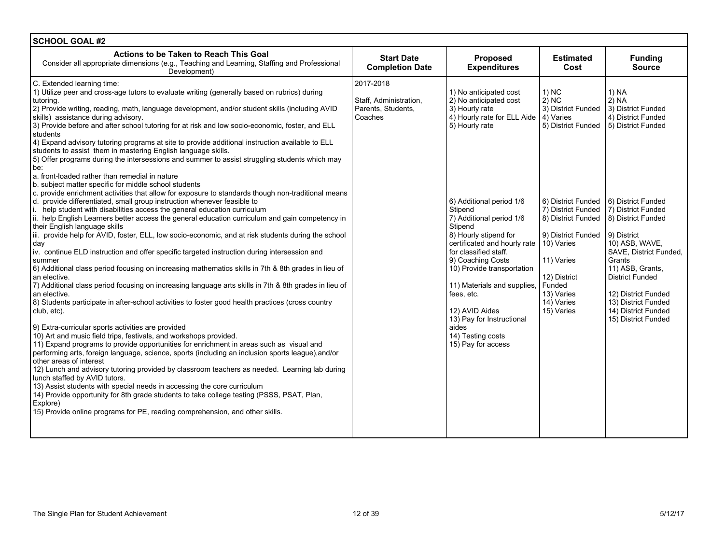| <b>SCHOOL GOAL #2</b>                                                                                                                                                                                                                                                                                                                                                                                                                                                                                                                                                                                                                                                                                                                                                                                                                                                                                                                                                                                                                                                                                                                                                                                                                                                                                                                                                                                                                                                                                                                                                                                                                                                                                                                                                                                                                                                                                                                                                                                                                                                                                                                                                                                                                                                                                                                                                                                                                                                                                                                             |                                                                      |                                                                                                                                                                                                                                                                                                                                                                                                                                                                                                    |                                                                                                                                                                                                                                                        |                                                                                                                                                                                                                                                                                                                                                                    |
|---------------------------------------------------------------------------------------------------------------------------------------------------------------------------------------------------------------------------------------------------------------------------------------------------------------------------------------------------------------------------------------------------------------------------------------------------------------------------------------------------------------------------------------------------------------------------------------------------------------------------------------------------------------------------------------------------------------------------------------------------------------------------------------------------------------------------------------------------------------------------------------------------------------------------------------------------------------------------------------------------------------------------------------------------------------------------------------------------------------------------------------------------------------------------------------------------------------------------------------------------------------------------------------------------------------------------------------------------------------------------------------------------------------------------------------------------------------------------------------------------------------------------------------------------------------------------------------------------------------------------------------------------------------------------------------------------------------------------------------------------------------------------------------------------------------------------------------------------------------------------------------------------------------------------------------------------------------------------------------------------------------------------------------------------------------------------------------------------------------------------------------------------------------------------------------------------------------------------------------------------------------------------------------------------------------------------------------------------------------------------------------------------------------------------------------------------------------------------------------------------------------------------------------------------|----------------------------------------------------------------------|----------------------------------------------------------------------------------------------------------------------------------------------------------------------------------------------------------------------------------------------------------------------------------------------------------------------------------------------------------------------------------------------------------------------------------------------------------------------------------------------------|--------------------------------------------------------------------------------------------------------------------------------------------------------------------------------------------------------------------------------------------------------|--------------------------------------------------------------------------------------------------------------------------------------------------------------------------------------------------------------------------------------------------------------------------------------------------------------------------------------------------------------------|
| Actions to be Taken to Reach This Goal<br>Consider all appropriate dimensions (e.g., Teaching and Learning, Staffing and Professional<br>Development)                                                                                                                                                                                                                                                                                                                                                                                                                                                                                                                                                                                                                                                                                                                                                                                                                                                                                                                                                                                                                                                                                                                                                                                                                                                                                                                                                                                                                                                                                                                                                                                                                                                                                                                                                                                                                                                                                                                                                                                                                                                                                                                                                                                                                                                                                                                                                                                             | <b>Start Date</b><br><b>Completion Date</b>                          | <b>Proposed</b><br><b>Expenditures</b>                                                                                                                                                                                                                                                                                                                                                                                                                                                             | Estimated<br>Cost                                                                                                                                                                                                                                      | <b>Funding</b><br><b>Source</b>                                                                                                                                                                                                                                                                                                                                    |
| C. Extended learning time:<br>1) Utilize peer and cross-age tutors to evaluate writing (generally based on rubrics) during<br>tutoring.<br>[2] Provide writing, reading, math, language development, and/or student skills (including AVID<br>skills) assistance during advisory.<br>3) Provide before and after school tutoring for at risk and low socio-economic, foster, and ELL<br>students<br>4) Expand advisory tutoring programs at site to provide additional instruction available to ELL<br>students to assist them in mastering English language skills.<br>5) Offer programs during the intersessions and summer to assist struggling students which may<br>be:<br>a. front-loaded rather than remedial in nature<br>b. subject matter specific for middle school students<br>c. provide enrichment activities that allow for exposure to standards though non-traditional means<br>d. provide differentiated, small group instruction whenever feasible to<br>i. help student with disabilities access the general education curriculum<br>ii. help English Learners better access the general education curriculum and gain competency in<br>their English language skills<br>iii. provide help for AVID, foster, ELL, low socio-economic, and at risk students during the school<br>day<br>iv. continue ELD instruction and offer specific targeted instruction during intersession and<br>summer<br>6) Additional class period focusing on increasing mathematics skills in 7th & 8th grades in lieu of<br>an elective.<br>7) Additional class period focusing on increasing language arts skills in 7th & 8th grades in lieu of<br>an elective.<br>8) Students participate in after-school activities to foster good health practices (cross country<br>club, etc).<br>9) Extra-curricular sports activities are provided<br>10) Art and music field trips, festivals, and workshops provided.<br>11) Expand programs to provide opportunities for enrichment in areas such as visual and<br>performing arts, foreign language, science, sports (including an inclusion sports league), and/or<br>other areas of interest<br>12) Lunch and advisory tutoring provided by classroom teachers as needed. Learning lab during<br>lunch staffed by AVID tutors.<br>13) Assist students with special needs in accessing the core curriculum<br>14) Provide opportunity for 8th grade students to take college testing (PSSS, PSAT, Plan,<br>Explore)<br>15) Provide online programs for PE, reading comprehension, and other skills. | 2017-2018<br>Staff, Administration,<br>Parents, Students,<br>Coaches | 1) No anticipated cost<br>2) No anticipated cost<br>3) Hourly rate<br>4) Hourly rate for ELL Aide   4) Varies<br>5) Hourly rate<br>6) Additional period 1/6<br>Stipend<br>7) Additional period 1/6<br>Stipend<br>8) Hourly stipend for<br>certificated and hourly rate<br>for classified staff.<br>9) Coaching Costs<br>10) Provide transportation<br>11) Materials and supplies,<br>fees, etc.<br>12) AVID Aides<br>13) Pay for Instructional<br>aides<br>14) Testing costs<br>15) Pay for access | $1)$ NC<br>$2)$ NC<br>3) District Funded<br>5) District Funded<br>6) District Funded<br>7) District Funded<br>8) District Funded<br>9) District Funded<br>10) Varies<br>11) Varies<br>12) District<br>Funded<br>13) Varies<br>14) Varies<br>15) Varies | 1) NA<br>2) NA<br>3) District Funded<br>4) District Funded<br>5) District Funded<br>16) District Funded<br>7) District Funded<br>8) District Funded<br>9) District<br>10) ASB, WAVE,<br>SAVE, District Funded,<br>Grants<br>11) ASB, Grants,<br><b>District Funded</b><br>12) District Funded<br>13) District Funded<br>14) District Funded<br>15) District Funded |
|                                                                                                                                                                                                                                                                                                                                                                                                                                                                                                                                                                                                                                                                                                                                                                                                                                                                                                                                                                                                                                                                                                                                                                                                                                                                                                                                                                                                                                                                                                                                                                                                                                                                                                                                                                                                                                                                                                                                                                                                                                                                                                                                                                                                                                                                                                                                                                                                                                                                                                                                                   |                                                                      |                                                                                                                                                                                                                                                                                                                                                                                                                                                                                                    |                                                                                                                                                                                                                                                        |                                                                                                                                                                                                                                                                                                                                                                    |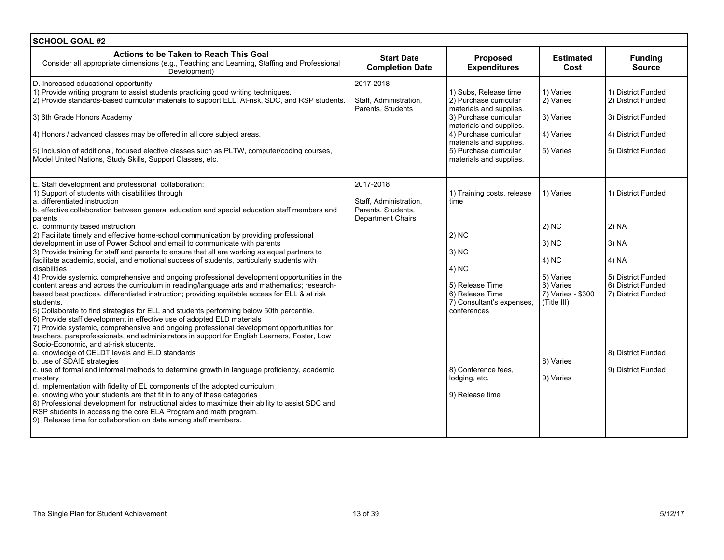| <b>SCHOOL GOAL #2</b>                                                                                                                                                                                                                                                                                                                                                                                                                                                                                                                                                                                                                                                                                                                                                                                                                                                                                                                                                                                                                                                                                                                                                                                                                                                                                                                                                                                                                                                                                                                                                                                                                                                                                                                                                                                                                                                                                                                                                                             |                                                                                       |                                                                                                                                                                                                                                           |                                                                                                                              |                                                                                                                                                             |
|---------------------------------------------------------------------------------------------------------------------------------------------------------------------------------------------------------------------------------------------------------------------------------------------------------------------------------------------------------------------------------------------------------------------------------------------------------------------------------------------------------------------------------------------------------------------------------------------------------------------------------------------------------------------------------------------------------------------------------------------------------------------------------------------------------------------------------------------------------------------------------------------------------------------------------------------------------------------------------------------------------------------------------------------------------------------------------------------------------------------------------------------------------------------------------------------------------------------------------------------------------------------------------------------------------------------------------------------------------------------------------------------------------------------------------------------------------------------------------------------------------------------------------------------------------------------------------------------------------------------------------------------------------------------------------------------------------------------------------------------------------------------------------------------------------------------------------------------------------------------------------------------------------------------------------------------------------------------------------------------------|---------------------------------------------------------------------------------------|-------------------------------------------------------------------------------------------------------------------------------------------------------------------------------------------------------------------------------------------|------------------------------------------------------------------------------------------------------------------------------|-------------------------------------------------------------------------------------------------------------------------------------------------------------|
| Actions to be Taken to Reach This Goal<br>Consider all appropriate dimensions (e.g., Teaching and Learning, Staffing and Professional<br>Development)                                                                                                                                                                                                                                                                                                                                                                                                                                                                                                                                                                                                                                                                                                                                                                                                                                                                                                                                                                                                                                                                                                                                                                                                                                                                                                                                                                                                                                                                                                                                                                                                                                                                                                                                                                                                                                             | <b>Start Date</b><br><b>Completion Date</b>                                           | <b>Proposed</b><br><b>Expenditures</b>                                                                                                                                                                                                    | <b>Estimated</b><br>Cost                                                                                                     | <b>Funding</b><br><b>Source</b>                                                                                                                             |
| D. Increased educational opportunity:<br>1) Provide writing program to assist students practicing good writing techniques.<br>2) Provide standards-based curricular materials to support ELL, At-risk, SDC, and RSP students.<br>3) 6th Grade Honors Academy<br>4) Honors / advanced classes may be offered in all core subject areas.<br>5) Inclusion of additional, focused elective classes such as PLTW, computer/coding courses,<br>Model United Nations, Study Skills, Support Classes, etc.                                                                                                                                                                                                                                                                                                                                                                                                                                                                                                                                                                                                                                                                                                                                                                                                                                                                                                                                                                                                                                                                                                                                                                                                                                                                                                                                                                                                                                                                                                | 2017-2018<br>Staff, Administration,<br>Parents, Students                              | 1) Subs, Release time<br>2) Purchase curricular<br>materials and supplies.<br>3) Purchase curricular<br>materials and supplies.<br>4) Purchase curricular<br>materials and supplies.<br>5) Purchase curricular<br>materials and supplies. | 1) Varies<br>2) Varies<br>3) Varies<br>4) Varies<br>5) Varies                                                                | 1) District Funded<br>2) District Funded<br>3) District Funded<br>4) District Funded<br>5) District Funded                                                  |
| E. Staff development and professional collaboration:<br>1) Support of students with disabilities through<br>a. differentiated instruction<br>b. effective collaboration between general education and special education staff members and<br>parents<br>c. community based instruction<br>2) Facilitate timely and effective home-school communication by providing professional<br>development in use of Power School and email to communicate with parents<br>3) Provide training for staff and parents to ensure that all are working as equal partners to<br>facilitate academic, social, and emotional success of students, particularly students with<br>disabilities<br>4) Provide systemic, comprehensive and ongoing professional development opportunities in the<br>content areas and across the curriculum in reading/language arts and mathematics; research-<br>based best practices, differentiated instruction; providing equitable access for ELL & at risk<br>students.<br>5) Collaborate to find strategies for ELL and students performing below 50th percentile.<br>6) Provide staff development in effective use of adopted ELD materials<br>7) Provide systemic, comprehensive and ongoing professional development opportunities for<br>teachers, paraprofessionals, and administrators in support for English Learners, Foster, Low<br>Socio-Economic, and at-risk students.<br>a. knowledge of CELDT levels and ELD standards<br>b. use of SDAIE strategies<br>c. use of formal and informal methods to determine growth in language proficiency, academic<br>mastery<br>d. implementation with fidelity of EL components of the adopted curriculum<br>e. knowing who your students are that fit in to any of these categories<br>8) Professional development for instructional aides to maximize their ability to assist SDC and<br>RSP students in accessing the core ELA Program and math program.<br>9) Release time for collaboration on data among staff members. | 2017-2018<br>Staff, Administration,<br>Parents, Students,<br><b>Department Chairs</b> | 1) Training costs, release<br>time<br>$ 2)$ NC<br>3) NC<br>4) NC<br>5) Release Time<br>6) Release Time<br>7) Consultant's expenses,<br>conferences<br>8) Conference fees.<br>lodging, etc.<br>9) Release time                             | 1) Varies<br>2) NC<br>3) NC<br>4) NC<br>5) Varies<br>6) Varies<br>7) Varies - \$300<br>(Title III)<br>8) Varies<br>9) Varies | 1) District Funded<br>2) NA<br>3) NA<br>4) NA<br>5) District Funded<br>6) District Funded<br>7) District Funded<br>8) District Funded<br>9) District Funded |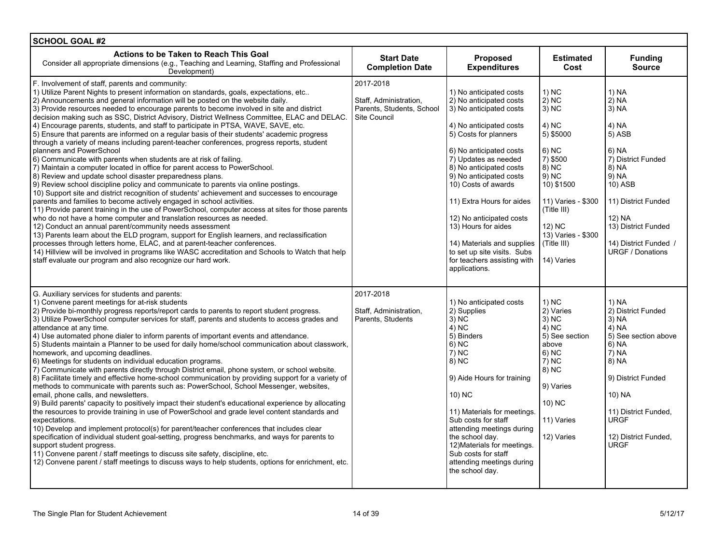| <b>SCHOOL GOAL #2</b>                                                                                                                                                                                                                                                                                                                                                                                                                                                                                                                                                                                                                                                                                                                                                                                                                                                                                                                                                                                                                                                                                                                                                                                                                                                                                                                                                                                                                                                                                                                                                                                                                                                                                                                                                                                       |                                                                                  |                                                                                                                                                                                                                                                                                                                                                                                                                                                                |                                                                                                                                                                                                        |                                                                                                                                                                                                                    |
|-------------------------------------------------------------------------------------------------------------------------------------------------------------------------------------------------------------------------------------------------------------------------------------------------------------------------------------------------------------------------------------------------------------------------------------------------------------------------------------------------------------------------------------------------------------------------------------------------------------------------------------------------------------------------------------------------------------------------------------------------------------------------------------------------------------------------------------------------------------------------------------------------------------------------------------------------------------------------------------------------------------------------------------------------------------------------------------------------------------------------------------------------------------------------------------------------------------------------------------------------------------------------------------------------------------------------------------------------------------------------------------------------------------------------------------------------------------------------------------------------------------------------------------------------------------------------------------------------------------------------------------------------------------------------------------------------------------------------------------------------------------------------------------------------------------|----------------------------------------------------------------------------------|----------------------------------------------------------------------------------------------------------------------------------------------------------------------------------------------------------------------------------------------------------------------------------------------------------------------------------------------------------------------------------------------------------------------------------------------------------------|--------------------------------------------------------------------------------------------------------------------------------------------------------------------------------------------------------|--------------------------------------------------------------------------------------------------------------------------------------------------------------------------------------------------------------------|
| Actions to be Taken to Reach This Goal<br>Consider all appropriate dimensions (e.g., Teaching and Learning, Staffing and Professional<br>Development)                                                                                                                                                                                                                                                                                                                                                                                                                                                                                                                                                                                                                                                                                                                                                                                                                                                                                                                                                                                                                                                                                                                                                                                                                                                                                                                                                                                                                                                                                                                                                                                                                                                       | <b>Start Date</b><br><b>Completion Date</b>                                      | <b>Proposed</b><br><b>Expenditures</b>                                                                                                                                                                                                                                                                                                                                                                                                                         | <b>Estimated</b><br>Cost                                                                                                                                                                               | <b>Funding</b><br><b>Source</b>                                                                                                                                                                                    |
| F. Involvement of staff, parents and community:<br>1) Utilize Parent Nights to present information on standards, goals, expectations, etc<br>2) Announcements and general information will be posted on the website daily.<br>3) Provide resources needed to encourage parents to become involved in site and district<br>decision making such as SSC, District Advisory, District Wellness Committee, ELAC and DELAC.<br>4) Encourage parents, students, and staff to participate in PTSA, WAVE, SAVE, etc.<br>5) Ensure that parents are informed on a regular basis of their students' academic progress<br>through a variety of means including parent-teacher conferences, progress reports, student<br>planners and PowerSchool<br>6) Communicate with parents when students are at risk of failing.<br>7) Maintain a computer located in office for parent access to PowerSchool.<br>8) Review and update school disaster preparedness plans.<br>9) Review school discipline policy and communicate to parents via online postings.<br>10) Support site and district recognition of students' achievement and successes to encourage<br>parents and families to become actively engaged in school activities.<br>11) Provide parent training in the use of PowerSchool, computer access at sites for those parents<br>who do not have a home computer and translation resources as needed.<br>12) Conduct an annual parent/community needs assessment<br>13) Parents learn about the ELD program, support for English learners, and reclassification<br>processes through letters home, ELAC, and at parent-teacher conferences.<br>14) Hillview will be involved in programs like WASC accreditation and Schools to Watch that help<br>staff evaluate our program and also recognize our hard work. | 2017-2018<br>Staff. Administration.<br>Parents, Students, School<br>Site Council | 1) No anticipated costs<br>2) No anticipated costs<br>3) No anticipated costs<br>4) No anticipated costs<br>5) Costs for planners<br>6) No anticipated costs<br>7) Updates as needed<br>8) No anticipated costs<br>9) No anticipated costs<br>10) Costs of awards<br>11) Extra Hours for aides<br>12) No anticipated costs<br>13) Hours for aides<br>14) Materials and supplies<br>to set up site visits. Subs<br>for teachers assisting with<br>applications. | 1) NC<br>2) NC<br>$3)$ NC<br>4) NC<br>5) \$5000<br>6) NC<br>7) \$500<br>8) NC<br>9) NC<br>10) \$1500<br>11) Varies - \$300<br>(Title III)<br>12) NC<br>13) Varies - \$300<br>(Title III)<br>14) Varies | 1) NA<br>2) NA<br>3) NA<br>4) NA<br>5) ASB<br>6) NA<br>7) District Funded<br>8) NA<br>9) NA<br>10) ASB<br>11) District Funded<br>12) NA<br>13) District Funded<br>14) District Funded /<br><b>URGF / Donations</b> |
| G. Auxiliary services for students and parents:<br>1) Convene parent meetings for at-risk students<br>2) Provide bi-monthly progress reports/report cards to parents to report student progress.<br>3) Utilize PowerSchool computer services for staff, parents and students to access grades and<br>attendance at any time.<br>4) Use automated phone dialer to inform parents of important events and attendance.<br>5) Students maintain a Planner to be used for daily home/school communication about classwork,<br>homework, and upcoming deadlines.<br>6) Meetings for students on individual education programs.<br>7) Communicate with parents directly through District email, phone system, or school website.<br>8) Facilitate timely and effective home-school communication by providing support for a variety of<br>methods to communicate with parents such as: PowerSchool, School Messenger, websites,<br>email, phone calls, and newsletters.<br>9) Build parents' capacity to positively impact their student's educational experience by allocating<br>the resources to provide training in use of PowerSchool and grade level content standards and<br>expectations.<br>10) Develop and implement protocol(s) for parent/teacher conferences that includes clear<br>specification of individual student goal-setting, progress benchmarks, and ways for parents to<br>support student progress.<br>11) Convene parent / staff meetings to discuss site safety, discipline, etc.<br>12) Convene parent / staff meetings to discuss ways to help students, options for enrichment, etc.                                                                                                                                                                                                 | 2017-2018<br>Staff, Administration,<br>Parents, Students                         | 1) No anticipated costs<br>2) Supplies<br>$3)$ NC<br>4) NC<br>5) Binders<br>$6)$ NC<br>7) NC<br>8) NC<br>9) Aide Hours for training<br>10) NC<br>11) Materials for meetings.<br>Sub costs for staff<br>attending meetings during<br>the school day.<br>12) Materials for meetings.<br>Sub costs for staff<br>attending meetings during<br>the school day.                                                                                                      | $1)$ NC<br>2) Varies<br>3) NC<br>4) NC<br>5) See section<br>above<br>6) NC<br>$7)$ NC<br>8) NC<br>9) Varies<br>10) NC<br>11) Varies<br>12) Varies                                                      | 1) NA<br>2) District Funded<br>3) NA<br>4) NA<br>5) See section above<br>6) NA<br>7) NA<br>8) NA<br>9) District Funded<br>10) NA<br>11) District Funded,<br><b>URGF</b><br>12) District Funded,<br><b>URGF</b>     |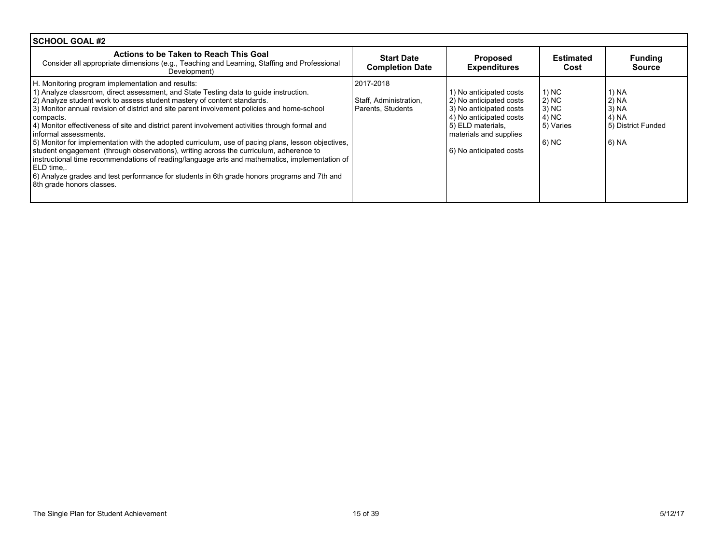| SCHOOL GOAL #2                                                                                                                                                                                                                                                                                                                                                                                                                                                                                                                                                                                                                                                                                                                                                                                                                                                                                           |                                                          |                                                                                                                                                                                    |                                                                      |                                                                     |
|----------------------------------------------------------------------------------------------------------------------------------------------------------------------------------------------------------------------------------------------------------------------------------------------------------------------------------------------------------------------------------------------------------------------------------------------------------------------------------------------------------------------------------------------------------------------------------------------------------------------------------------------------------------------------------------------------------------------------------------------------------------------------------------------------------------------------------------------------------------------------------------------------------|----------------------------------------------------------|------------------------------------------------------------------------------------------------------------------------------------------------------------------------------------|----------------------------------------------------------------------|---------------------------------------------------------------------|
| Actions to be Taken to Reach This Goal<br>Consider all appropriate dimensions (e.g., Teaching and Learning, Staffing and Professional<br>Development)                                                                                                                                                                                                                                                                                                                                                                                                                                                                                                                                                                                                                                                                                                                                                    | <b>Start Date</b><br><b>Completion Date</b>              | <b>Proposed</b><br><b>Expenditures</b>                                                                                                                                             | <b>Estimated</b><br>Cost                                             | <b>Funding</b><br><b>Source</b>                                     |
| H. Monitoring program implementation and results:<br>1) Analyze classroom, direct assessment, and State Testing data to guide instruction.<br>2) Analyze student work to assess student mastery of content standards.<br>3) Monitor annual revision of district and site parent involvement policies and home-school<br>compacts.<br>4) Monitor effectiveness of site and district parent involvement activities through formal and<br>informal assessments.<br>5) Monitor for implementation with the adopted curriculum, use of pacing plans, lesson objectives,<br>student engagement (through observations), writing across the curriculum, adherence to<br>instructional time recommendations of reading/language arts and mathematics, implementation of<br>LELD time<br>6) Analyze grades and test performance for students in 6th grade honors programs and 7th and<br>8th grade honors classes. | 2017-2018<br>Staff, Administration.<br>Parents, Students | 1) No anticipated costs<br>2) No anticipated costs<br>3) No anticipated costs<br>4) No anticipated costs<br>5) ELD materials,<br>materials and supplies<br>6) No anticipated costs | 1) NC<br>$ 2\rangle$ NC<br>$3)$ NC<br>4) NC<br>5) Varies<br>$(6)$ NC | 1) NA<br>2) NA<br>3) NA<br>  4) NA<br>5) District Funded<br>  6) NA |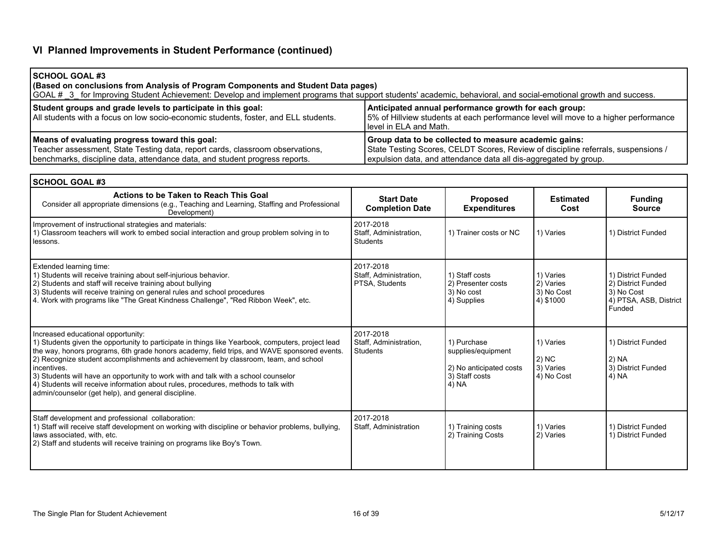# **VI Planned Improvements in Student Performance (continued)**

| <b>ISCHOOL GOAL #3</b><br>(Based on conclusions from Analysis of Program Components and Student Data pages)<br>GOAL # 3 for Improving Student Achievement: Develop and implement programs that support students' academic, behavioral, and social-emotional growth and success. |                                                                                                                                                                                                                |  |  |  |  |  |
|---------------------------------------------------------------------------------------------------------------------------------------------------------------------------------------------------------------------------------------------------------------------------------|----------------------------------------------------------------------------------------------------------------------------------------------------------------------------------------------------------------|--|--|--|--|--|
| Student groups and grade levels to participate in this goal:<br>All students with a focus on low socio-economic students, foster, and ELL students.                                                                                                                             | Anticipated annual performance growth for each group:<br>5% of Hillview students at each performance level will move to a higher performance<br>I level in ELA and Math.                                       |  |  |  |  |  |
| Means of evaluating progress toward this goal:<br>Teacher assessment, State Testing data, report cards, classroom observations,<br>benchmarks, discipline data, attendance data, and student progress reports.                                                                  | Group data to be collected to measure academic gains:<br>State Testing Scores, CELDT Scores, Review of discipline referrals, suspensions /<br>expulsion data, and attendance data all dis-aggregated by group. |  |  |  |  |  |

| <b>SCHOOL GOAL #3</b>                                                                                                                                                                                                                                                                                                                                                                                                                                                                                                                                                           |                                                        |                                                                                         |                                                   |                                                                                            |  |
|---------------------------------------------------------------------------------------------------------------------------------------------------------------------------------------------------------------------------------------------------------------------------------------------------------------------------------------------------------------------------------------------------------------------------------------------------------------------------------------------------------------------------------------------------------------------------------|--------------------------------------------------------|-----------------------------------------------------------------------------------------|---------------------------------------------------|--------------------------------------------------------------------------------------------|--|
| Actions to be Taken to Reach This Goal<br>Consider all appropriate dimensions (e.g., Teaching and Learning, Staffing and Professional<br>Development)                                                                                                                                                                                                                                                                                                                                                                                                                           | <b>Start Date</b><br><b>Completion Date</b>            | Proposed<br><b>Expenditures</b>                                                         | <b>Estimated</b><br>Cost                          | <b>Funding</b><br><b>Source</b>                                                            |  |
| Improvement of instructional strategies and materials:<br>1) Classroom teachers will work to embed social interaction and group problem solving in to<br>lessons.                                                                                                                                                                                                                                                                                                                                                                                                               | 2017-2018<br>Staff, Administration,<br><b>Students</b> | 1) Trainer costs or NC                                                                  | 1) Varies                                         | 1) District Funded                                                                         |  |
| Extended learning time:<br>1) Students will receive training about self-injurious behavior.<br>2) Students and staff will receive training about bullying<br>3) Students will receive training on general rules and school procedures<br>4. Work with programs like "The Great Kindness Challenge", "Red Ribbon Week", etc.                                                                                                                                                                                                                                                     | 2017-2018<br>Staff, Administration,<br>PTSA, Students  | 1) Staff costs<br>2) Presenter costs<br>3) No cost<br>4) Supplies                       | 1) Varies<br>2) Varies<br>3) No Cost<br>4) \$1000 | 1) District Funded<br>2) District Funded<br>3) No Cost<br>4) PTSA, ASB, District<br>Funded |  |
| Increased educational opportunity:<br>1) Students given the opportunity to participate in things like Yearbook, computers, project lead<br>the way, honors programs, 6th grade honors academy, field trips, and WAVE sponsored events.<br>2) Recognize student accomplishments and achievement by classroom, team, and school<br>incentives.<br>3) Students will have an opportunity to work with and talk with a school counselor<br>4) Students will receive information about rules, procedures, methods to talk with<br>admin/counselor (get help), and general discipline. | 2017-2018<br>Staff, Administration,<br>Students        | 1) Purchase<br>supplies/equipment<br>2) No anticipated costs<br>3) Staff costs<br>4) NA | 1) Varies<br>2) NC<br>3) Varies<br>4) No Cost     | 1) District Funded<br>2) NA<br>3) District Funded<br>4) NA                                 |  |
| Staff development and professional collaboration:<br>1) Staff will receive staff development on working with discipline or behavior problems, bullying,<br>laws associated, with, etc.<br>2) Staff and students will receive training on programs like Boy's Town.                                                                                                                                                                                                                                                                                                              | 2017-2018<br>Staff, Administration                     | 1) Training costs<br>2) Training Costs                                                  | 1) Varies<br>2) Varies                            | 1) District Funded<br>1) District Funded                                                   |  |

Г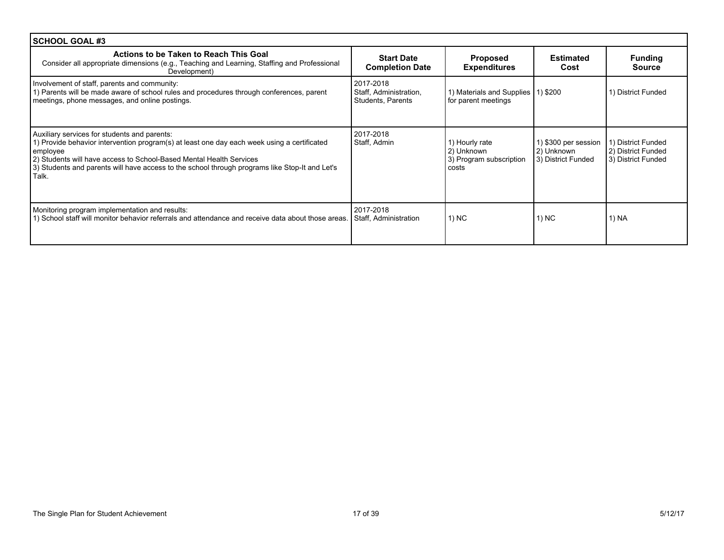| SCHOOL GOAL #3                                                                                                                                                                                                                                                                                                                            |                                                          |                                                                  |                                                          |                                                                |  |
|-------------------------------------------------------------------------------------------------------------------------------------------------------------------------------------------------------------------------------------------------------------------------------------------------------------------------------------------|----------------------------------------------------------|------------------------------------------------------------------|----------------------------------------------------------|----------------------------------------------------------------|--|
| Actions to be Taken to Reach This Goal<br>Consider all appropriate dimensions (e.g., Teaching and Learning, Staffing and Professional<br>Development)                                                                                                                                                                                     | <b>Start Date</b><br><b>Completion Date</b>              | <b>Proposed</b><br><b>Expenditures</b>                           | <b>Estimated</b><br>Cost                                 | <b>Funding</b><br><b>Source</b>                                |  |
| Involvement of staff, parents and community:<br>1) Parents will be made aware of school rules and procedures through conferences, parent<br>meetings, phone messages, and online postings.                                                                                                                                                | 2017-2018<br>Staff, Administration,<br>Students, Parents | 1) Materials and Supplies   1) \$200<br>for parent meetings      |                                                          | 1) District Funded                                             |  |
| Auxiliary services for students and parents:<br>1) Provide behavior intervention program(s) at least one day each week using a certificated<br>employee<br>2) Students will have access to School-Based Mental Health Services<br>3) Students and parents will have access to the school through programs like Stop-It and Let's<br>Talk. | 2017-2018<br>Staff, Admin                                | 1) Hourly rate<br>2) Unknown<br>3) Program subscription<br>costs | 1) \$300 per session<br>2) Unknown<br>3) District Funded | 1) District Funded<br>2) District Funded<br>3) District Funded |  |
| Monitoring program implementation and results:<br>1) School staff will monitor behavior referrals and attendance and receive data about those areas.                                                                                                                                                                                      | 2017-2018<br>Staff, Administration                       | 1) NC                                                            | 1) NC                                                    | 1) NA                                                          |  |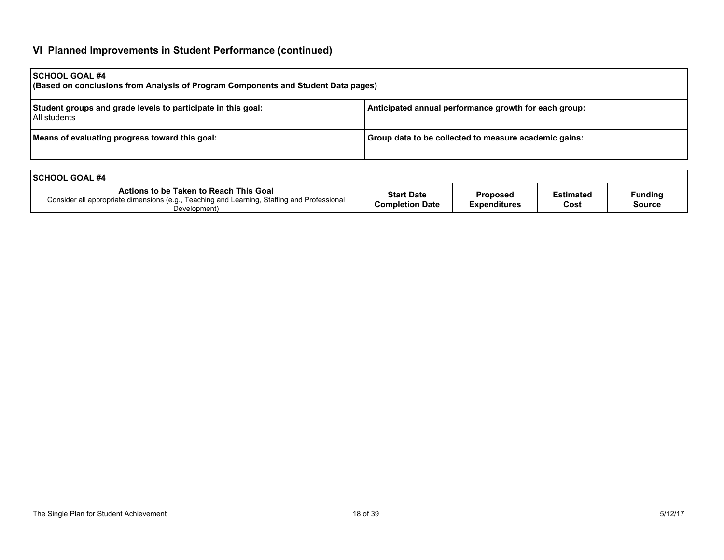# **VI Planned Improvements in Student Performance (continued)**

| <b>SCHOOL GOAL #4</b><br>(Based on conclusions from Analysis of Program Components and Student Data pages) |                                                       |  |  |  |  |
|------------------------------------------------------------------------------------------------------------|-------------------------------------------------------|--|--|--|--|
| Student groups and grade levels to participate in this goal:<br>l All students                             | Anticipated annual performance growth for each group: |  |  |  |  |
| Means of evaluating progress toward this goal:                                                             | Group data to be collected to measure academic gains: |  |  |  |  |

| <b>ISCHOOL GOAL #4</b>                                                                                                                                |                                             |                                        |                          |                          |
|-------------------------------------------------------------------------------------------------------------------------------------------------------|---------------------------------------------|----------------------------------------|--------------------------|--------------------------|
| Actions to be Taken to Reach This Goal<br>Consider all appropriate dimensions (e.g., Teaching and Learning, Staffing and Professional<br>Development) | <b>Start Date</b><br><b>Completion Date</b> | <b>Proposed</b><br><b>Expenditures</b> | <b>Estimated</b><br>Cost | <b>Funding</b><br>Source |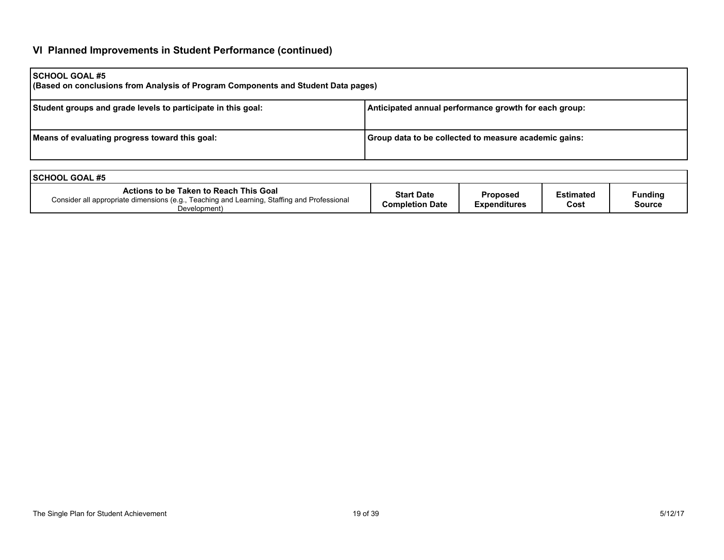# **VI Planned Improvements in Student Performance (continued)**

| <b>SCHOOL GOAL #5</b><br>(Based on conclusions from Analysis of Program Components and Student Data pages) |                                                       |  |  |  |  |
|------------------------------------------------------------------------------------------------------------|-------------------------------------------------------|--|--|--|--|
| Student groups and grade levels to participate in this goal:                                               | Anticipated annual performance growth for each group: |  |  |  |  |
| Means of evaluating progress toward this goal:                                                             | Group data to be collected to measure academic gains: |  |  |  |  |

| <b>ISCHOOL GOAL #5</b>                                                                                                                                |                                             |                                 |                          |                                 |
|-------------------------------------------------------------------------------------------------------------------------------------------------------|---------------------------------------------|---------------------------------|--------------------------|---------------------------------|
| Actions to be Taken to Reach This Goal<br>Consider all appropriate dimensions (e.g., Teaching and Learning, Staffing and Professional<br>Development) | <b>Start Date</b><br><b>Completion Date</b> | <b>Proposed</b><br>Expenditures | <b>Estimated</b><br>Cost | <b>Funding</b><br><b>Source</b> |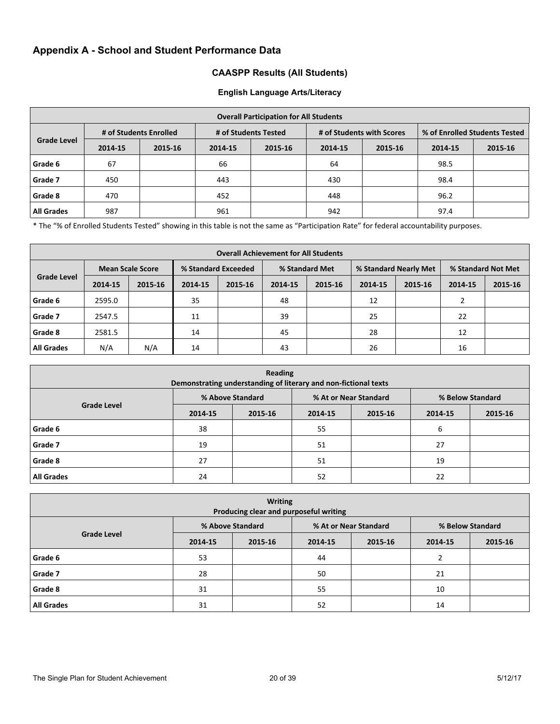# **Appendix A - School and Student Performance Data**

### **CAASPP Results (All Students)**

#### **English Language Arts/Literacy**

| <b>Overall Participation for All Students</b> |                        |         |                      |         |                           |         |                               |         |
|-----------------------------------------------|------------------------|---------|----------------------|---------|---------------------------|---------|-------------------------------|---------|
|                                               | # of Students Enrolled |         | # of Students Tested |         | # of Students with Scores |         | % of Enrolled Students Tested |         |
| <b>Grade Level</b>                            | 2014-15                | 2015-16 | 2014-15              | 2015-16 | 2014-15                   | 2015-16 | 2014-15                       | 2015-16 |
| Grade 6                                       | 67                     |         | 66                   |         | 64                        |         | 98.5                          |         |
| Grade 7                                       | 450                    |         | 443                  |         | 430                       |         | 98.4                          |         |
| Grade 8                                       | 470                    |         | 452                  |         | 448                       |         | 96.2                          |         |
| <b>All Grades</b>                             | 987                    |         | 961                  |         | 942                       |         | 97.4                          |         |

\* The "% of Enrolled Students Tested" showing in this table is not the same as "Participation Rate" for federal accountability purposes.

| <b>Overall Achievement for All Students</b> |         |                         |         |                     |         |                |         |                       |               |                    |  |
|---------------------------------------------|---------|-------------------------|---------|---------------------|---------|----------------|---------|-----------------------|---------------|--------------------|--|
|                                             |         | <b>Mean Scale Score</b> |         | % Standard Exceeded |         | % Standard Met |         | % Standard Nearly Met |               | % Standard Not Met |  |
| <b>Grade Level</b>                          | 2014-15 | 2015-16                 | 2014-15 | 2015-16             | 2014-15 | 2015-16        | 2014-15 | 2015-16               | 2014-15       | 2015-16            |  |
| Grade 6                                     | 2595.0  |                         | 35      |                     | 48      |                | 12      |                       | $\mathcal{P}$ |                    |  |
| Grade 7                                     | 2547.5  |                         | 11      |                     | 39      |                | 25      |                       | 22            |                    |  |
| Grade 8                                     | 2581.5  |                         | 14      |                     | 45      |                | 28      |                       | 12            |                    |  |
| <b>All Grades</b>                           | N/A     | N/A                     | 14      |                     | 43      |                | 26      |                       | 16            |                    |  |

| Reading<br>Demonstrating understanding of literary and non-fictional texts |                  |         |                       |         |                  |         |  |  |
|----------------------------------------------------------------------------|------------------|---------|-----------------------|---------|------------------|---------|--|--|
|                                                                            | % Above Standard |         | % At or Near Standard |         | % Below Standard |         |  |  |
| <b>Grade Level</b>                                                         | 2014-15          | 2015-16 | 2014-15               | 2015-16 | 2014-15          | 2015-16 |  |  |
| Grade 6                                                                    | 38               |         | 55                    |         | 6                |         |  |  |
| Grade 7                                                                    | 19               |         | 51                    |         | 27               |         |  |  |
| Grade 8                                                                    | 27               |         | 51                    |         | 19               |         |  |  |
| <b>All Grades</b>                                                          | 24               |         | 52                    |         | 22               |         |  |  |

| <b>Writing</b><br>Producing clear and purposeful writing |                  |         |                       |         |                  |         |  |  |
|----------------------------------------------------------|------------------|---------|-----------------------|---------|------------------|---------|--|--|
| <b>Grade Level</b>                                       | % Above Standard |         | % At or Near Standard |         | % Below Standard |         |  |  |
|                                                          | 2014-15          | 2015-16 | 2014-15               | 2015-16 | 2014-15          | 2015-16 |  |  |
| Grade 6                                                  | 53               |         | 44                    |         |                  |         |  |  |
| Grade 7                                                  | 28               |         | 50                    |         | 21               |         |  |  |
| Grade 8                                                  | 31               |         | 55                    |         | 10               |         |  |  |
| <b>All Grades</b>                                        | 31               |         | 52                    |         | 14               |         |  |  |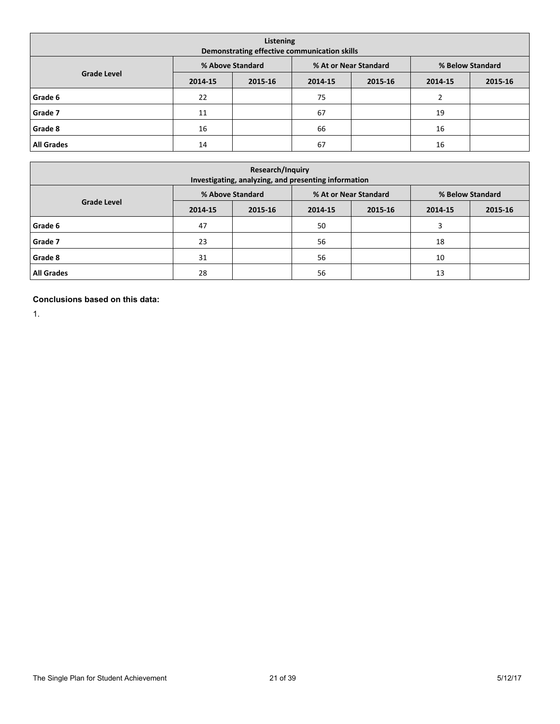| Listening<br>Demonstrating effective communication skills |         |                  |         |                       |                  |         |  |  |  |  |
|-----------------------------------------------------------|---------|------------------|---------|-----------------------|------------------|---------|--|--|--|--|
|                                                           |         | % Above Standard |         | % At or Near Standard | % Below Standard |         |  |  |  |  |
| <b>Grade Level</b>                                        | 2014-15 | 2015-16          | 2014-15 | 2015-16               | 2014-15          | 2015-16 |  |  |  |  |
| Grade 6                                                   | 22      |                  | 75      |                       | 2                |         |  |  |  |  |
| Grade 7                                                   | 11      |                  | 67      |                       | 19               |         |  |  |  |  |
| Grade 8                                                   | 16      |                  | 66      |                       | 16               |         |  |  |  |  |
| <b>All Grades</b>                                         | 14      |                  | 67      |                       | 16               |         |  |  |  |  |

| <b>Research/Inquiry</b><br>Investigating, analyzing, and presenting information |         |                  |         |                       |                  |         |  |  |  |  |  |
|---------------------------------------------------------------------------------|---------|------------------|---------|-----------------------|------------------|---------|--|--|--|--|--|
|                                                                                 |         | % Above Standard |         | % At or Near Standard | % Below Standard |         |  |  |  |  |  |
| <b>Grade Level</b>                                                              | 2014-15 | 2015-16          | 2014-15 | 2015-16               | 2014-15          | 2015-16 |  |  |  |  |  |
| Grade 6                                                                         | 47      |                  | 50      |                       | 3                |         |  |  |  |  |  |
| Grade 7                                                                         | 23      |                  | 56      |                       | 18               |         |  |  |  |  |  |
| Grade 8                                                                         | 31      |                  | 56      |                       | 10               |         |  |  |  |  |  |
| <b>All Grades</b>                                                               | 28      |                  | 56      |                       | 13               |         |  |  |  |  |  |

**Conclusions based on this data:**

1.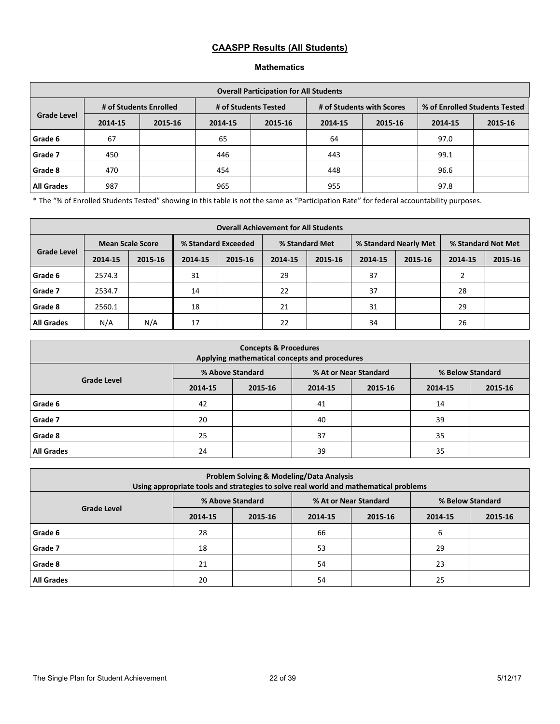# **CAASPP Results (All Students)**

### **Mathematics**

| <b>Overall Participation for All Students</b> |         |                        |                      |         |                           |         |                               |         |  |  |  |
|-----------------------------------------------|---------|------------------------|----------------------|---------|---------------------------|---------|-------------------------------|---------|--|--|--|
|                                               |         | # of Students Enrolled | # of Students Tested |         | # of Students with Scores |         | % of Enrolled Students Tested |         |  |  |  |
| <b>Grade Level</b>                            | 2014-15 | 2015-16                | 2014-15              | 2015-16 | 2014-15                   | 2015-16 | 2014-15                       | 2015-16 |  |  |  |
| Grade 6                                       | 67      |                        | 65                   |         | 64                        |         | 97.0                          |         |  |  |  |
| Grade 7                                       | 450     |                        | 446                  |         | 443                       |         | 99.1                          |         |  |  |  |
| Grade 8                                       | 470     |                        | 454                  |         | 448                       |         | 96.6                          |         |  |  |  |
| <b>All Grades</b>                             | 987     |                        | 965                  |         | 955                       |         | 97.8                          |         |  |  |  |

\* The "% of Enrolled Students Tested" showing in this table is not the same as "Participation Rate" for federal accountability purposes.

| <b>Overall Achievement for All Students</b> |         |         |                     |         |                |         |                       |         |                    |         |
|---------------------------------------------|---------|---------|---------------------|---------|----------------|---------|-----------------------|---------|--------------------|---------|
| <b>Mean Scale Score</b>                     |         |         | % Standard Exceeded |         | % Standard Met |         | % Standard Nearly Met |         | % Standard Not Met |         |
| <b>Grade Level</b>                          | 2014-15 | 2015-16 | 2014-15             | 2015-16 | 2014-15        | 2015-16 | 2014-15               | 2015-16 | 2014-15            | 2015-16 |
| Grade 6                                     | 2574.3  |         | 31                  |         | 29             |         | 37                    |         |                    |         |
| Grade 7                                     | 2534.7  |         | 14                  |         | 22             |         | 37                    |         | 28                 |         |
| Grade 8                                     | 2560.1  |         | 18                  |         | 21             |         | 31                    |         | 29                 |         |
| <b>All Grades</b>                           | N/A     | N/A     | 17                  |         | 22             |         | 34                    |         | 26                 |         |

| <b>Concepts &amp; Procedures</b><br>Applying mathematical concepts and procedures |         |                  |         |                       |                  |         |  |  |  |  |
|-----------------------------------------------------------------------------------|---------|------------------|---------|-----------------------|------------------|---------|--|--|--|--|
|                                                                                   |         | % Above Standard |         | % At or Near Standard | % Below Standard |         |  |  |  |  |
| <b>Grade Level</b>                                                                | 2014-15 | 2015-16          | 2014-15 | 2015-16               | 2014-15          | 2015-16 |  |  |  |  |
| Grade 6                                                                           | 42      |                  | 41      |                       | 14               |         |  |  |  |  |
| Grade 7                                                                           | 20      |                  | 40      |                       | 39               |         |  |  |  |  |
| Grade 8                                                                           | 25      |                  | 37      |                       | 35               |         |  |  |  |  |
| <b>All Grades</b>                                                                 | 24      |                  | 39      |                       | 35               |         |  |  |  |  |

| <b>Problem Solving &amp; Modeling/Data Analysis</b><br>Using appropriate tools and strategies to solve real world and mathematical problems |         |                  |         |                       |                  |         |  |  |  |  |
|---------------------------------------------------------------------------------------------------------------------------------------------|---------|------------------|---------|-----------------------|------------------|---------|--|--|--|--|
|                                                                                                                                             |         | % Above Standard |         | % At or Near Standard | % Below Standard |         |  |  |  |  |
| <b>Grade Level</b>                                                                                                                          | 2014-15 | 2015-16          | 2014-15 | 2015-16               |                  | 2015-16 |  |  |  |  |
| Grade 6                                                                                                                                     | 28      |                  | 66      |                       | 6                |         |  |  |  |  |
| Grade 7                                                                                                                                     | 18      |                  | 53      |                       | 29               |         |  |  |  |  |
| Grade 8                                                                                                                                     | 21      |                  | 54      |                       | 23               |         |  |  |  |  |
| <b>All Grades</b>                                                                                                                           | 20      |                  | 54      |                       | 25               |         |  |  |  |  |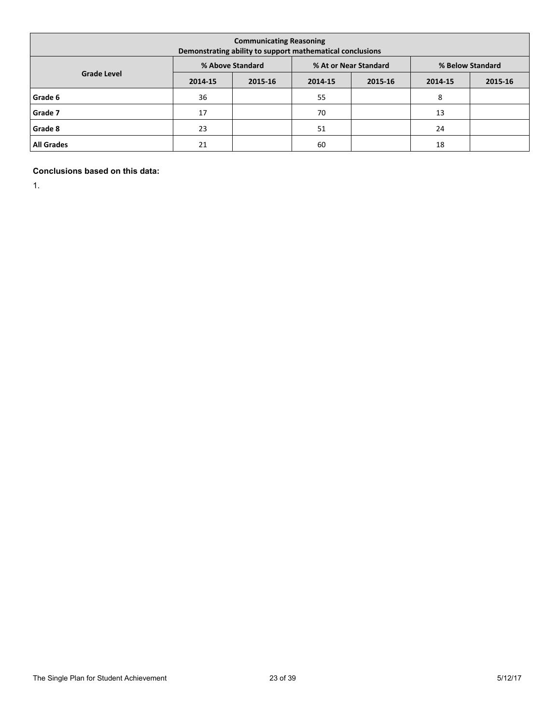| <b>Communicating Reasoning</b><br>Demonstrating ability to support mathematical conclusions |         |                  |         |                       |                  |         |  |  |  |  |
|---------------------------------------------------------------------------------------------|---------|------------------|---------|-----------------------|------------------|---------|--|--|--|--|
|                                                                                             |         | % Above Standard |         | % At or Near Standard | % Below Standard |         |  |  |  |  |
| <b>Grade Level</b>                                                                          | 2014-15 | 2015-16          | 2014-15 | 2015-16               | 2014-15          | 2015-16 |  |  |  |  |
| Grade 6                                                                                     | 36      |                  | 55      |                       | 8                |         |  |  |  |  |
| Grade 7                                                                                     | 17      |                  | 70      |                       | 13               |         |  |  |  |  |
| Grade 8                                                                                     | 23      |                  | 51      |                       | 24               |         |  |  |  |  |
| <b>All Grades</b>                                                                           | 21      |                  | 60      |                       | 18               |         |  |  |  |  |

### **Conclusions based on this data:**

1.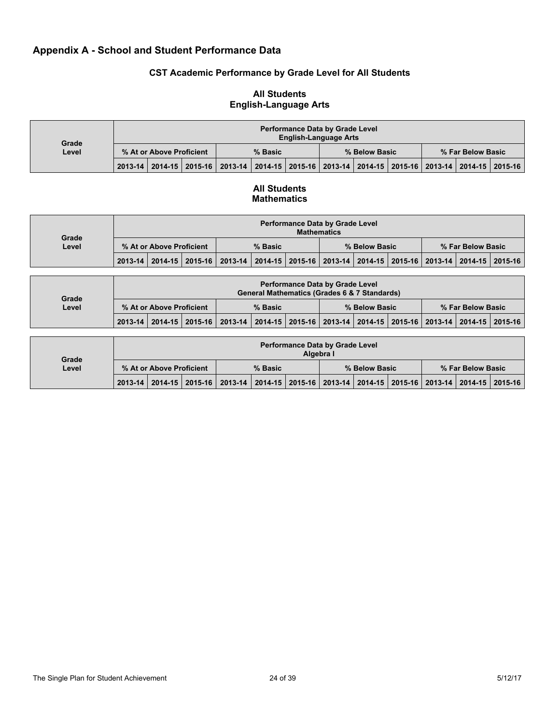## **Appendix A - School and Student Performance Data**

### **CST Academic Performance by Grade Level for All Students**

#### **Performance Data by Grade Level English-Language Arts % At or Above Proficient % Basic % Below Basic % Far Below Basic Grade Level 2013-14 2014-15 2015-16 2013-14 2014-15 2015-16 2013-14 2014-15 2015-16 2013-14 2014-15 2015-16**

### **All Students English-Language Arts**

### **All Students Mathematics**

| Grade |                          | <b>Performance Data by Grade Level</b><br><b>Mathematics</b> |  |                                                                                                 |  |  |               |  |  |                   |  |  |  |  |
|-------|--------------------------|--------------------------------------------------------------|--|-------------------------------------------------------------------------------------------------|--|--|---------------|--|--|-------------------|--|--|--|--|
| Level | % At or Above Proficient |                                                              |  | % Basic                                                                                         |  |  | % Below Basic |  |  | % Far Below Basic |  |  |  |  |
|       |                          |                                                              |  | 2013-14 2014-15 2015-16 2013-14 2014-15 2015-16 2013-14 2014-15 2015-16 2013-14 2014-15 2015-16 |  |  |               |  |  |                   |  |  |  |  |

| Grade |                          | <b>Performance Data by Grade Level</b><br><b>General Mathematics (Grades 6 &amp; 7 Standards)</b> |  |                                                                                                 |  |  |               |  |  |  |                   |  |  |  |
|-------|--------------------------|---------------------------------------------------------------------------------------------------|--|-------------------------------------------------------------------------------------------------|--|--|---------------|--|--|--|-------------------|--|--|--|
| Level | % At or Above Proficient |                                                                                                   |  | % Basic                                                                                         |  |  | % Below Basic |  |  |  | % Far Below Basic |  |  |  |
|       |                          |                                                                                                   |  | 2013-14 2014-15 2015-16 2013-14 2014-15 2015-16 2013-14 2014-15 2015-16 2013-14 2014-15 2015-16 |  |  |               |  |  |  |                   |  |  |  |

| Grade |                          |  |  |                                                                                                 |  | Algebra I | <b>Performance Data by Grade Level</b> |  |  |                   |  |
|-------|--------------------------|--|--|-------------------------------------------------------------------------------------------------|--|-----------|----------------------------------------|--|--|-------------------|--|
| Level | % At or Above Proficient |  |  | % Basic                                                                                         |  |           | % Below Basic                          |  |  | % Far Below Basic |  |
|       |                          |  |  | 2013-14 2014-15 2015-16 2013-14 2014-15 2015-16 2013-14 2014-15 2015-16 2013-14 2014-15 2015-16 |  |           |                                        |  |  |                   |  |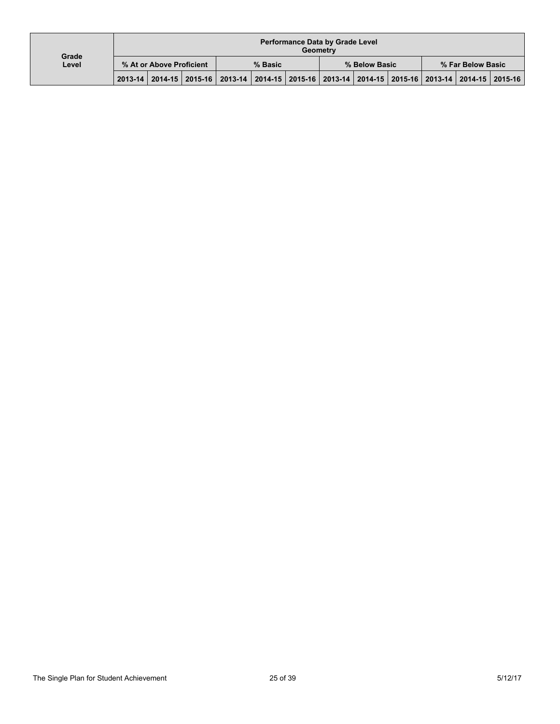| Grade |                          |  |  |                                                                                                 |  |  | <b>Performance Data by Grade Level</b><br>Geometry |  |  |                   |  |
|-------|--------------------------|--|--|-------------------------------------------------------------------------------------------------|--|--|----------------------------------------------------|--|--|-------------------|--|
| Level | % At or Above Proficient |  |  | % Basic                                                                                         |  |  | % Below Basic                                      |  |  | % Far Below Basic |  |
|       |                          |  |  | 2013-14 2014-15 2015-16 2013-14 2014-15 2015-16 2013-14 2014-15 2015-16 2013-14 2014-15 2015-16 |  |  |                                                    |  |  |                   |  |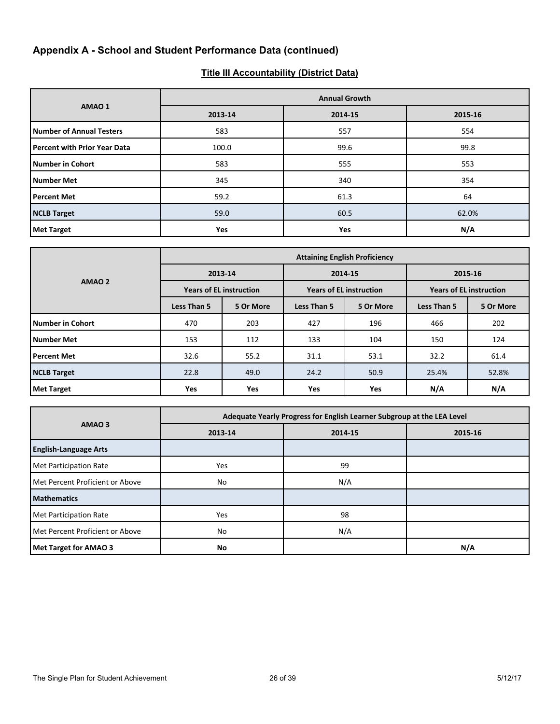# **Appendix A - School and Student Performance Data (continued)**

# **Title III Accountability (District Data)**

|                                     |         | <b>Annual Growth</b> |         |  |  |  |  |  |  |  |
|-------------------------------------|---------|----------------------|---------|--|--|--|--|--|--|--|
| AMAO 1                              | 2013-14 | 2014-15              | 2015-16 |  |  |  |  |  |  |  |
| <b>Number of Annual Testers</b>     | 583     | 557                  | 554     |  |  |  |  |  |  |  |
| <b>Percent with Prior Year Data</b> | 100.0   | 99.6                 | 99.8    |  |  |  |  |  |  |  |
| Number in Cohort                    | 583     | 555                  | 553     |  |  |  |  |  |  |  |
| Number Met                          | 345     | 340                  | 354     |  |  |  |  |  |  |  |
| <b>Percent Met</b>                  | 59.2    | 61.3                 | 64      |  |  |  |  |  |  |  |
| <b>NCLB Target</b>                  | 59.0    | 60.5                 | 62.0%   |  |  |  |  |  |  |  |
| <b>Met Target</b>                   | Yes     | <b>Yes</b>           | N/A     |  |  |  |  |  |  |  |

|                         | <b>Attaining English Proficiency</b> |            |             |                                |                                |           |  |  |  |
|-------------------------|--------------------------------------|------------|-------------|--------------------------------|--------------------------------|-----------|--|--|--|
|                         |                                      | 2013-14    | 2014-15     |                                | 2015-16                        |           |  |  |  |
| AMAO <sub>2</sub>       | <b>Years of EL instruction</b>       |            |             | <b>Years of EL instruction</b> | <b>Years of EL instruction</b> |           |  |  |  |
|                         | Less Than 5                          | 5 Or More  | Less Than 5 | 5 Or More                      | Less Than 5                    | 5 Or More |  |  |  |
| <b>Number in Cohort</b> | 470                                  | 203        | 427         | 196                            | 466                            | 202       |  |  |  |
| <b>Number Met</b>       | 153                                  | 112        | 133         | 104                            | 150                            | 124       |  |  |  |
| <b>Percent Met</b>      | 32.6                                 | 55.2       | 31.1        | 53.1                           | 32.2                           | 61.4      |  |  |  |
| <b>NCLB Target</b>      | 22.8                                 | 49.0       | 24.2        | 50.9                           | 25.4%                          | 52.8%     |  |  |  |
| <b>Met Target</b>       | <b>Yes</b>                           | <b>Yes</b> | <b>Yes</b>  | <b>Yes</b>                     | N/A                            | N/A       |  |  |  |

|                                 | Adequate Yearly Progress for English Learner Subgroup at the LEA Level |         |     |  |  |  |  |  |
|---------------------------------|------------------------------------------------------------------------|---------|-----|--|--|--|--|--|
| AMAO <sub>3</sub>               | 2013-14                                                                | 2015-16 |     |  |  |  |  |  |
| <b>English-Language Arts</b>    |                                                                        |         |     |  |  |  |  |  |
| Met Participation Rate          | Yes                                                                    | 99      |     |  |  |  |  |  |
| Met Percent Proficient or Above | No                                                                     | N/A     |     |  |  |  |  |  |
| Mathematics                     |                                                                        |         |     |  |  |  |  |  |
| Met Participation Rate          | <b>Yes</b>                                                             | 98      |     |  |  |  |  |  |
| Met Percent Proficient or Above | No                                                                     | N/A     |     |  |  |  |  |  |
| Met Target for AMAO 3           | No                                                                     |         | N/A |  |  |  |  |  |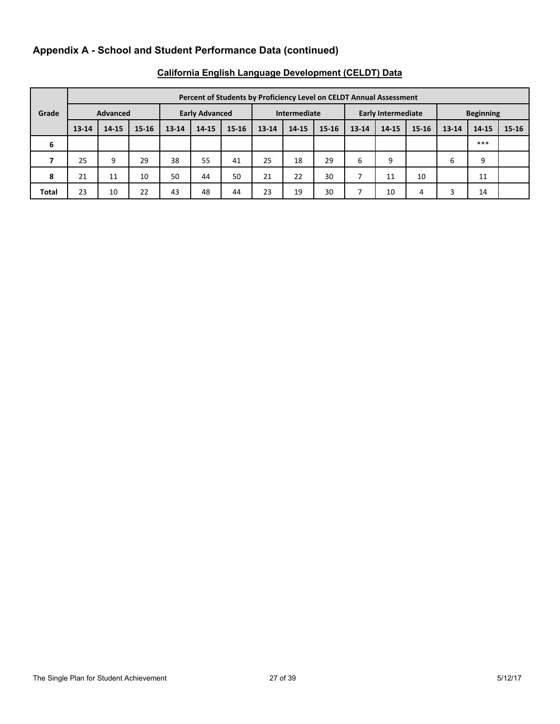# **Appendix A - School and Student Performance Data (continued)**

|              |           | Percent of Students by Proficiency Level on CELDT Annual Assessment |           |           |                       |           |              |           |           |                           |       |       |                  |       |       |
|--------------|-----------|---------------------------------------------------------------------|-----------|-----------|-----------------------|-----------|--------------|-----------|-----------|---------------------------|-------|-------|------------------|-------|-------|
| Grade        |           | <b>Advanced</b>                                                     |           |           | <b>Early Advanced</b> |           | Intermediate |           |           | <b>Early Intermediate</b> |       |       | <b>Beginning</b> |       |       |
|              | $13 - 14$ | 14-15                                                               | $15 - 16$ | $13 - 14$ | 14-15                 | $15 - 16$ | $13 - 14$    | $14 - 15$ | $15 - 16$ | 13-14                     | 14-15 | 15-16 | $13 - 14$        | 14-15 | 15-16 |
| 6            |           |                                                                     |           |           |                       |           |              |           |           |                           |       |       |                  | ***   |       |
|              | 25        | 9                                                                   | 29        | 38        | 55                    | 41        | 25           | 18        | 29        | 6                         | 9     |       | 6                | 9     |       |
| 8            | 21        | 11                                                                  | 10        | 50        | 44                    | 50        | 21           | 22        | 30        |                           | 11    | 10    |                  | 11    |       |
| <b>Total</b> | 23        | 10                                                                  | 22        | 43        | 48                    | 44        | 23           | 19        | 30        |                           | 10    | 4     | 3                | 14    |       |

# **California English Language Development (CELDT) Data**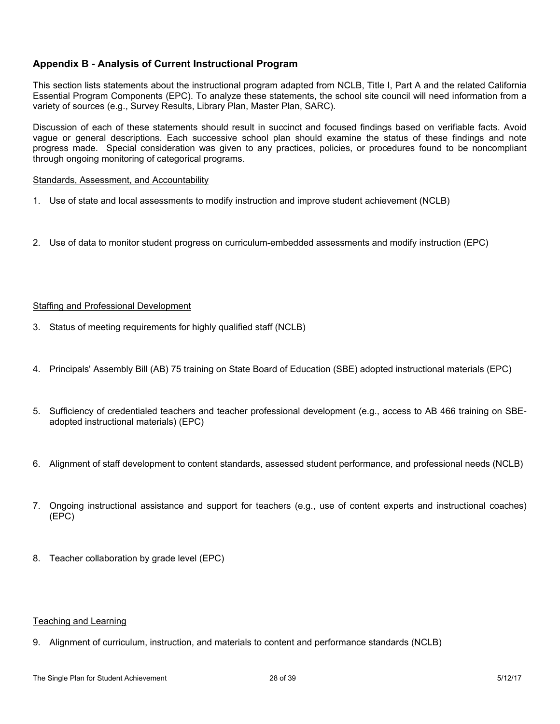## **Appendix B - Analysis of Current Instructional Program**

This section lists statements about the instructional program adapted from NCLB, Title I, Part A and the related California Essential Program Components (EPC). To analyze these statements, the school site council will need information from a variety of sources (e.g., Survey Results, Library Plan, Master Plan, SARC).

Discussion of each of these statements should result in succinct and focused findings based on verifiable facts. Avoid vague or general descriptions. Each successive school plan should examine the status of these findings and note progress made. Special consideration was given to any practices, policies, or procedures found to be noncompliant through ongoing monitoring of categorical programs.

#### Standards, Assessment, and Accountability

- 1. Use of state and local assessments to modify instruction and improve student achievement (NCLB)
- 2. Use of data to monitor student progress on curriculum-embedded assessments and modify instruction (EPC)

### Staffing and Professional Development

- 3. Status of meeting requirements for highly qualified staff (NCLB)
- 4. Principals' Assembly Bill (AB) 75 training on State Board of Education (SBE) adopted instructional materials (EPC)
- 5. Sufficiency of credentialed teachers and teacher professional development (e.g., access to AB 466 training on SBEadopted instructional materials) (EPC)
- 6. Alignment of staff development to content standards, assessed student performance, and professional needs (NCLB)
- 7. Ongoing instructional assistance and support for teachers (e.g., use of content experts and instructional coaches) (EPC)
- 8. Teacher collaboration by grade level (EPC)

### Teaching and Learning

9. Alignment of curriculum, instruction, and materials to content and performance standards (NCLB)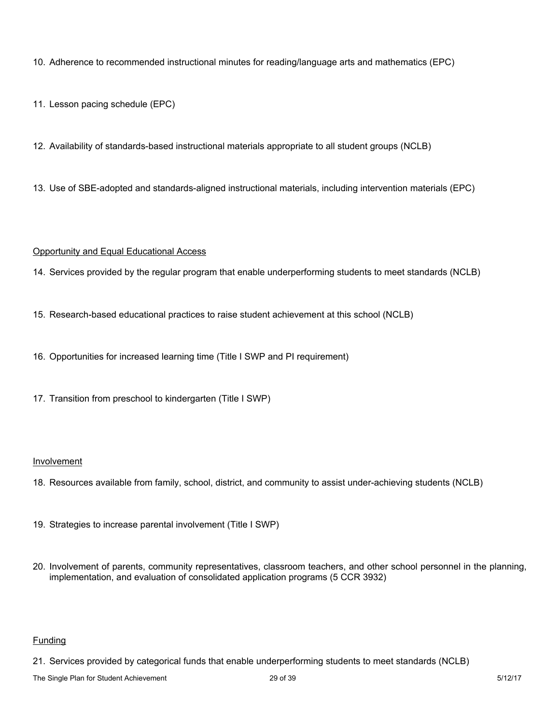10. Adherence to recommended instructional minutes for reading/language arts and mathematics (EPC)

11. Lesson pacing schedule (EPC)

12. Availability of standards-based instructional materials appropriate to all student groups (NCLB)

13. Use of SBE-adopted and standards-aligned instructional materials, including intervention materials (EPC)

### Opportunity and Equal Educational Access

14. Services provided by the regular program that enable underperforming students to meet standards (NCLB)

- 15. Research-based educational practices to raise student achievement at this school (NCLB)
- 16. Opportunities for increased learning time (Title I SWP and PI requirement)
- 17. Transition from preschool to kindergarten (Title I SWP)

### Involvement

- 18. Resources available from family, school, district, and community to assist under-achieving students (NCLB)
- 19. Strategies to increase parental involvement (Title I SWP)
- 20. Involvement of parents, community representatives, classroom teachers, and other school personnel in the planning, implementation, and evaluation of consolidated application programs (5 CCR 3932)

## Funding

21. Services provided by categorical funds that enable underperforming students to meet standards (NCLB)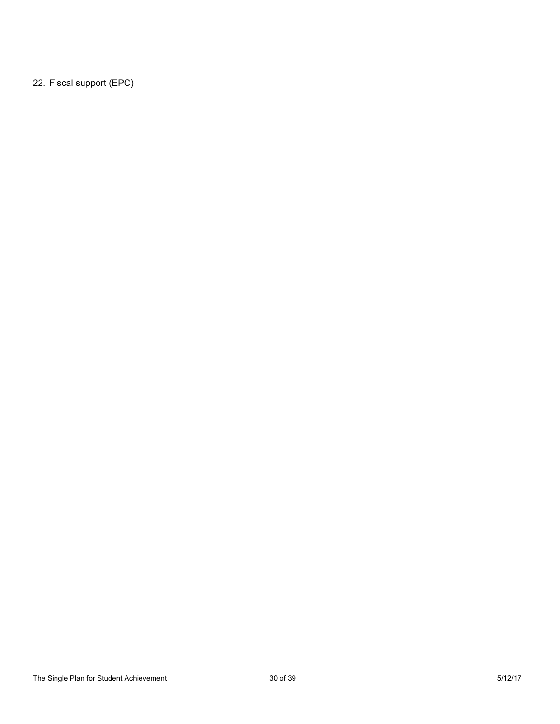22. Fiscal support (EPC)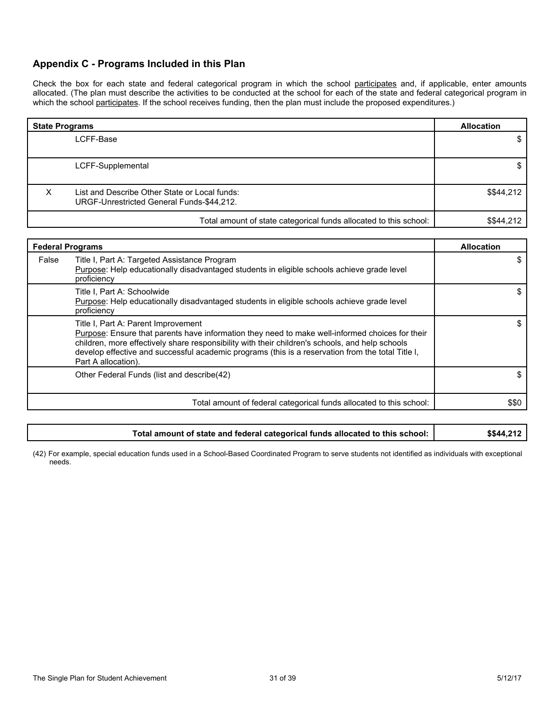## **Appendix C - Programs Included in this Plan**

Check the box for each state and federal categorical program in which the school participates and, if applicable, enter amounts allocated. (The plan must describe the activities to be conducted at the school for each of the state and federal categorical program in which the school participates. If the school receives funding, then the plan must include the proposed expenditures.)

| <b>State Programs</b> | <b>Allocation</b>                                                                          |            |
|-----------------------|--------------------------------------------------------------------------------------------|------------|
|                       | LCFF-Base                                                                                  |            |
|                       |                                                                                            |            |
|                       | LCFF-Supplemental                                                                          |            |
| x                     | List and Describe Other State or Local funds:<br>URGF-Unrestricted General Funds-\$44,212. | \$\$44,212 |
|                       | Total amount of state categorical funds allocated to this school:                          | \$\$44,212 |

|       | <b>Federal Programs</b>                                                                                                                                                                                                                                                                                                                                               |       |  |  |
|-------|-----------------------------------------------------------------------------------------------------------------------------------------------------------------------------------------------------------------------------------------------------------------------------------------------------------------------------------------------------------------------|-------|--|--|
| False | Title I, Part A: Targeted Assistance Program<br>Purpose: Help educationally disadvantaged students in eligible schools achieve grade level<br>proficiency                                                                                                                                                                                                             |       |  |  |
|       | Title I, Part A: Schoolwide<br>Purpose: Help educationally disadvantaged students in eligible schools achieve grade level<br>proficiency                                                                                                                                                                                                                              |       |  |  |
|       | Title I, Part A: Parent Improvement<br>Purpose: Ensure that parents have information they need to make well-informed choices for their<br>children, more effectively share responsibility with their children's schools, and help schools<br>develop effective and successful academic programs (this is a reservation from the total Title I,<br>Part A allocation). |       |  |  |
|       | Other Federal Funds (list and describe(42)                                                                                                                                                                                                                                                                                                                            |       |  |  |
|       | Total amount of federal categorical funds allocated to this school:                                                                                                                                                                                                                                                                                                   | \$\$0 |  |  |

| Total amount of state and federal categorical funds allocated to this school: | \$\$44,212 |
|-------------------------------------------------------------------------------|------------|
|-------------------------------------------------------------------------------|------------|

(42) For example, special education funds used in a School-Based Coordinated Program to serve students not identified as individuals with exceptional needs.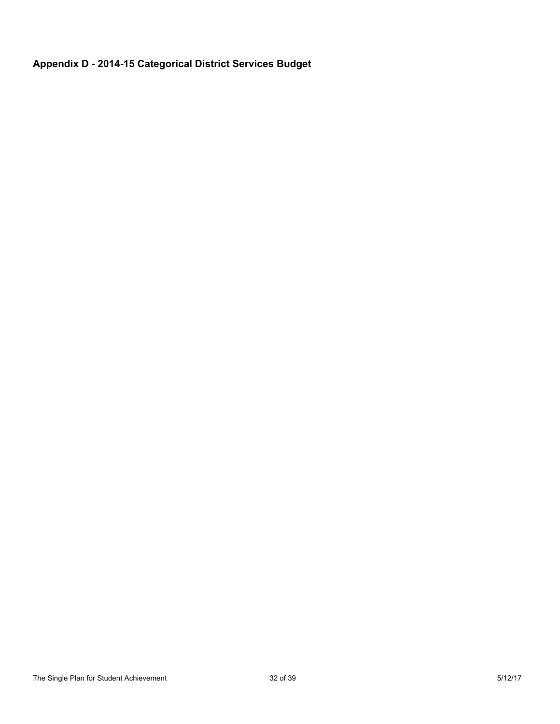# **Appendix D - 2014-15 Categorical District Services Budget**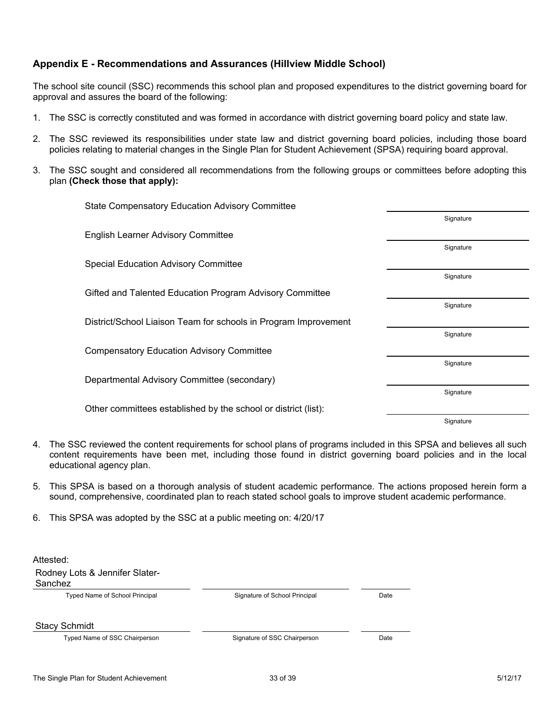## **Appendix E - Recommendations and Assurances (Hillview Middle School)**

The school site council (SSC) recommends this school plan and proposed expenditures to the district governing board for approval and assures the board of the following:

- 1. The SSC is correctly constituted and was formed in accordance with district governing board policy and state law.
- 2. The SSC reviewed its responsibilities under state law and district governing board policies, including those board policies relating to material changes in the Single Plan for Student Achievement (SPSA) requiring board approval.
- 3. The SSC sought and considered all recommendations from the following groups or committees before adopting this plan **(Check those that apply):**

| <b>State Compensatory Education Advisory Committee</b>          |           |
|-----------------------------------------------------------------|-----------|
|                                                                 | Signature |
| <b>English Learner Advisory Committee</b>                       |           |
|                                                                 | Signature |
| <b>Special Education Advisory Committee</b>                     |           |
|                                                                 | Signature |
| Gifted and Talented Education Program Advisory Committee        |           |
|                                                                 | Signature |
| District/School Liaison Team for schools in Program Improvement |           |
|                                                                 | Signature |
| <b>Compensatory Education Advisory Committee</b>                |           |
|                                                                 | Signature |
| Departmental Advisory Committee (secondary)                     |           |
|                                                                 | Signature |
| Other committees established by the school or district (list):  |           |
|                                                                 | Signature |

- 4. The SSC reviewed the content requirements for school plans of programs included in this SPSA and believes all such content requirements have been met, including those found in district governing board policies and in the local educational agency plan.
- 5. This SPSA is based on a thorough analysis of student academic performance. The actions proposed herein form a sound, comprehensive, coordinated plan to reach stated school goals to improve student academic performance.
- 6. This SPSA was adopted by the SSC at a public meeting on: 4/20/17

| Rodney Lots & Jennifer Slater-<br>Sanchez |                               |      |
|-------------------------------------------|-------------------------------|------|
| <b>Typed Name of School Principal</b>     | Signature of School Principal | Date |
| <b>Stacy Schmidt</b>                      |                               |      |
| Typed Name of SSC Chairperson             | Signature of SSC Chairperson  | Date |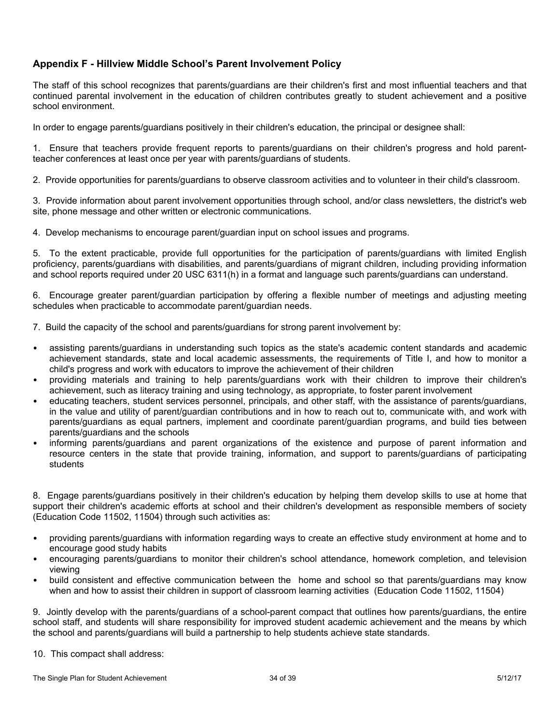## **Appendix F - Hillview Middle School's Parent Involvement Policy**

The staff of this school recognizes that parents/guardians are their children's first and most influential teachers and that continued parental involvement in the education of children contributes greatly to student achievement and a positive school environment.

In order to engage parents/guardians positively in their children's education, the principal or designee shall:

1. Ensure that teachers provide frequent reports to parents/guardians on their children's progress and hold parentteacher conferences at least once per year with parents/guardians of students.

2. Provide opportunities for parents/guardians to observe classroom activities and to volunteer in their child's classroom.

3. Provide information about parent involvement opportunities through school, and/or class newsletters, the district's web site, phone message and other written or electronic communications.

4. Develop mechanisms to encourage parent/guardian input on school issues and programs.

5. To the extent practicable, provide full opportunities for the participation of parents/guardians with limited English proficiency, parents/guardians with disabilities, and parents/guardians of migrant children, including providing information and school reports required under 20 USC 6311(h) in a format and language such parents/guardians can understand.

6. Encourage greater parent/guardian participation by offering a flexible number of meetings and adjusting meeting schedules when practicable to accommodate parent/guardian needs.

7. Build the capacity of the school and parents/guardians for strong parent involvement by:

- assisting parents/guardians in understanding such topics as the state's academic content standards and academic achievement standards, state and local academic assessments, the requirements of Title I, and how to monitor a child's progress and work with educators to improve the achievement of their children
- providing materials and training to help parents/guardians work with their children to improve their children's achievement, such as literacy training and using technology, as appropriate, to foster parent involvement
- educating teachers, student services personnel, principals, and other staff, with the assistance of parents/guardians, in the value and utility of parent/guardian contributions and in how to reach out to, communicate with, and work with parents/guardians as equal partners, implement and coordinate parent/guardian programs, and build ties between parents/guardians and the schools
- informing parents/guardians and parent organizations of the existence and purpose of parent information and resource centers in the state that provide training, information, and support to parents/guardians of participating students

8. Engage parents/guardians positively in their children's education by helping them develop skills to use at home that support their children's academic efforts at school and their children's development as responsible members of society (Education Code 11502, 11504) through such activities as:

- providing parents/guardians with information regarding ways to create an effective study environment at home and to encourage good study habits
- encouraging parents/guardians to monitor their children's school attendance, homework completion, and television viewing
- build consistent and effective communication between the home and school so that parents/guardians may know when and how to assist their children in support of classroom learning activities (Education Code 11502, 11504)

9. Jointly develop with the parents/guardians of a school-parent compact that outlines how parents/guardians, the entire school staff, and students will share responsibility for improved student academic achievement and the means by which the school and parents/guardians will build a partnership to help students achieve state standards.

10. This compact shall address: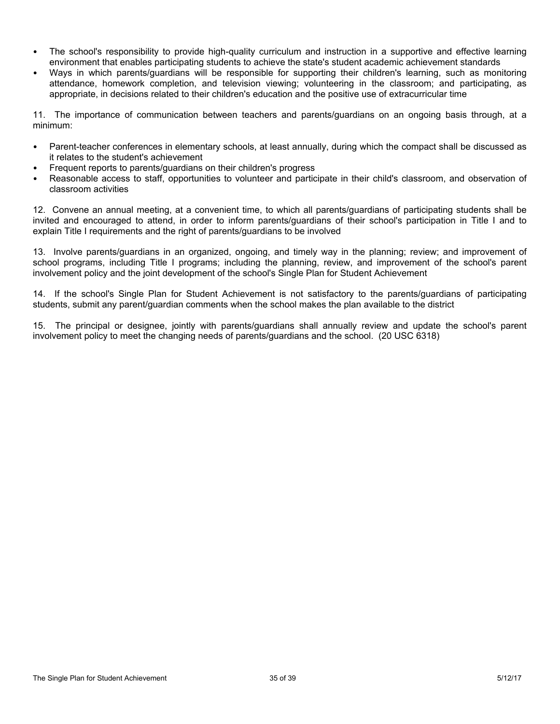- The school's responsibility to provide high-quality curriculum and instruction in a supportive and effective learning environment that enables participating students to achieve the state's student academic achievement standards
- Ways in which parents/guardians will be responsible for supporting their children's learning, such as monitoring attendance, homework completion, and television viewing; volunteering in the classroom; and participating, as appropriate, in decisions related to their children's education and the positive use of extracurricular time

11. The importance of communication between teachers and parents/guardians on an ongoing basis through, at a minimum:

- Parent-teacher conferences in elementary schools, at least annually, during which the compact shall be discussed as it relates to the student's achievement
- Frequent reports to parents/guardians on their children's progress
- Reasonable access to staff, opportunities to volunteer and participate in their child's classroom, and observation of classroom activities

12. Convene an annual meeting, at a convenient time, to which all parents/guardians of participating students shall be invited and encouraged to attend, in order to inform parents/guardians of their school's participation in Title I and to explain Title I requirements and the right of parents/guardians to be involved

13. Involve parents/guardians in an organized, ongoing, and timely way in the planning; review; and improvement of school programs, including Title I programs; including the planning, review, and improvement of the school's parent involvement policy and the joint development of the school's Single Plan for Student Achievement

14. If the school's Single Plan for Student Achievement is not satisfactory to the parents/guardians of participating students, submit any parent/guardian comments when the school makes the plan available to the district

15. The principal or designee, jointly with parents/guardians shall annually review and update the school's parent involvement policy to meet the changing needs of parents/guardians and the school. (20 USC 6318)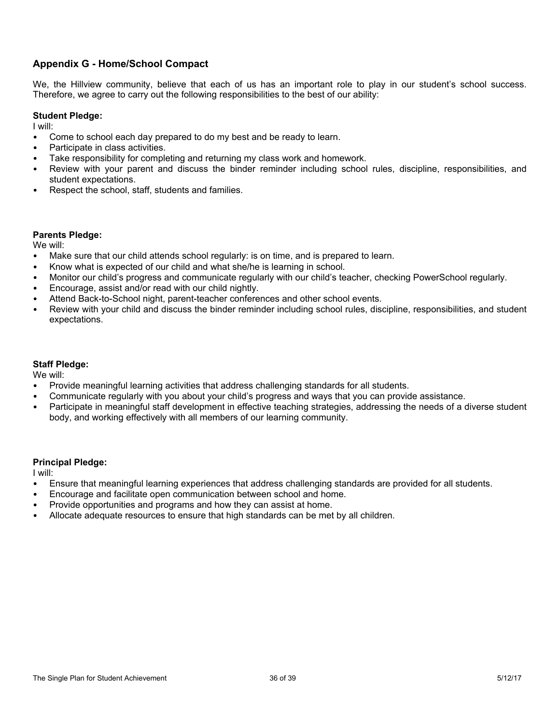## **Appendix G - Home/School Compact**

We, the Hillview community, believe that each of us has an important role to play in our student's school success. Therefore, we agree to carry out the following responsibilities to the best of our ability:

### **Student Pledge:**

I will:

- Come to school each day prepared to do my best and be ready to learn.
- Participate in class activities.
- Take responsibility for completing and returning my class work and homework.
- Review with your parent and discuss the binder reminder including school rules, discipline, responsibilities, and student expectations.
- Respect the school, staff, students and families.

### **Parents Pledge:**

We will:

- Make sure that our child attends school regularly: is on time, and is prepared to learn.
- Know what is expected of our child and what she/he is learning in school.
- Monitor our child's progress and communicate regularly with our child's teacher, checking PowerSchool regularly.
- Encourage, assist and/or read with our child nightly.
- Attend Back-to-School night, parent-teacher conferences and other school events.
- Review with your child and discuss the binder reminder including school rules, discipline, responsibilities, and student expectations.

### **Staff Pledge:**

We will:

- Provide meaningful learning activities that address challenging standards for all students.
- Communicate regularly with you about your child's progress and ways that you can provide assistance.
- Participate in meaningful staff development in effective teaching strategies, addressing the needs of a diverse student body, and working effectively with all members of our learning community.

### **Principal Pledge:**

I will:

- Ensure that meaningful learning experiences that address challenging standards are provided for all students.
- Encourage and facilitate open communication between school and home.
- Provide opportunities and programs and how they can assist at home.
- Allocate adequate resources to ensure that high standards can be met by all children.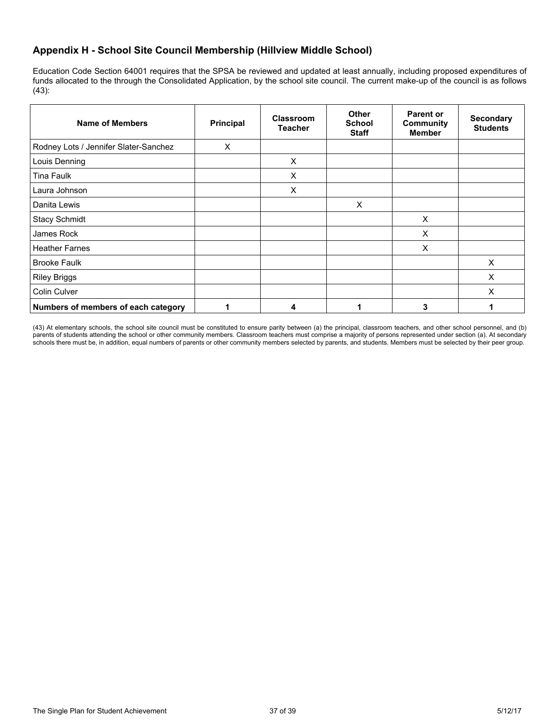## **Appendix H - School Site Council Membership (Hillview Middle School)**

Education Code Section 64001 requires that the SPSA be reviewed and updated at least annually, including proposed expenditures of funds allocated to the through the Consolidated Application, by the school site council. The current make-up of the council is as follows (43):

| <b>Name of Members</b>                | Principal | <b>Classroom</b><br><b>Teacher</b> | <b>Other</b><br><b>School</b><br><b>Staff</b> | <b>Parent or</b><br><b>Community</b><br><b>Member</b> | <b>Secondary</b><br><b>Students</b> |
|---------------------------------------|-----------|------------------------------------|-----------------------------------------------|-------------------------------------------------------|-------------------------------------|
| Rodney Lots / Jennifer Slater-Sanchez | X         |                                    |                                               |                                                       |                                     |
| Louis Denning                         |           | X                                  |                                               |                                                       |                                     |
| Tina Faulk                            |           | X                                  |                                               |                                                       |                                     |
| Laura Johnson                         |           | X                                  |                                               |                                                       |                                     |
| Danita Lewis                          |           |                                    | $\times$                                      |                                                       |                                     |
| <b>Stacy Schmidt</b>                  |           |                                    |                                               | X                                                     |                                     |
| James Rock                            |           |                                    |                                               | X                                                     |                                     |
| <b>Heather Farnes</b>                 |           |                                    |                                               | X                                                     |                                     |
| <b>Brooke Faulk</b>                   |           |                                    |                                               |                                                       | X                                   |
| <b>Riley Briggs</b>                   |           |                                    |                                               |                                                       | X                                   |
| Colin Culver                          |           |                                    |                                               |                                                       | X                                   |
| Numbers of members of each category   |           | 4                                  |                                               | 3                                                     |                                     |

(43) At elementary schools, the school site council must be constituted to ensure parity between (a) the principal, classroom teachers, and other school personnel, and (b) parents of students attending the school or other community members. Classroom teachers must comprise a majority of persons represented under section (a). At secondary schools there must be, in addition, equal numbers of parents or other community members selected by parents, and students. Members must be selected by their peer group.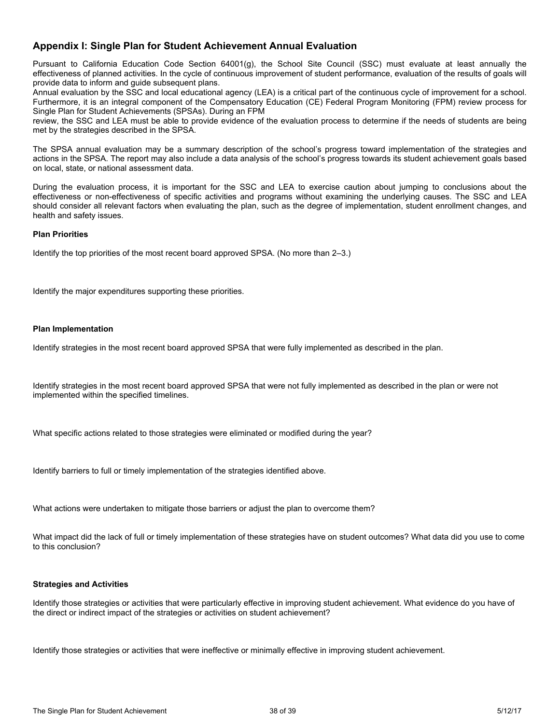### **Appendix I: Single Plan for Student Achievement Annual Evaluation**

Pursuant to California Education Code Section 64001(g), the School Site Council (SSC) must evaluate at least annually the effectiveness of planned activities. In the cycle of continuous improvement of student performance, evaluation of the results of goals will provide data to inform and guide subsequent plans.

Annual evaluation by the SSC and local educational agency (LEA) is a critical part of the continuous cycle of improvement for a school. Furthermore, it is an integral component of the Compensatory Education (CE) Federal Program Monitoring (FPM) review process for Single Plan for Student Achievements (SPSAs). During an FPM

review, the SSC and LEA must be able to provide evidence of the evaluation process to determine if the needs of students are being met by the strategies described in the SPSA.

The SPSA annual evaluation may be a summary description of the school's progress toward implementation of the strategies and actions in the SPSA. The report may also include a data analysis of the school's progress towards its student achievement goals based on local, state, or national assessment data.

During the evaluation process, it is important for the SSC and LEA to exercise caution about jumping to conclusions about the effectiveness or non-effectiveness of specific activities and programs without examining the underlying causes. The SSC and LEA should consider all relevant factors when evaluating the plan, such as the degree of implementation, student enrollment changes, and health and safety issues.

#### **Plan Priorities**

Identify the top priorities of the most recent board approved SPSA. (No more than 2–3.)

Identify the major expenditures supporting these priorities.

#### **Plan Implementation**

Identify strategies in the most recent board approved SPSA that were fully implemented as described in the plan.

Identify strategies in the most recent board approved SPSA that were not fully implemented as described in the plan or were not implemented within the specified timelines.

What specific actions related to those strategies were eliminated or modified during the year?

Identify barriers to full or timely implementation of the strategies identified above.

What actions were undertaken to mitigate those barriers or adjust the plan to overcome them?

What impact did the lack of full or timely implementation of these strategies have on student outcomes? What data did you use to come to this conclusion?

#### **Strategies and Activities**

Identify those strategies or activities that were particularly effective in improving student achievement. What evidence do you have of the direct or indirect impact of the strategies or activities on student achievement?

Identify those strategies or activities that were ineffective or minimally effective in improving student achievement.